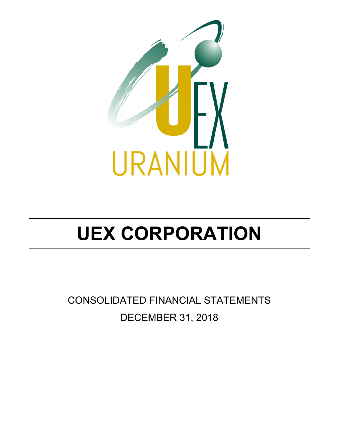

CONSOLIDATED FINANCIAL STATEMENTS DECEMBER 31, 2018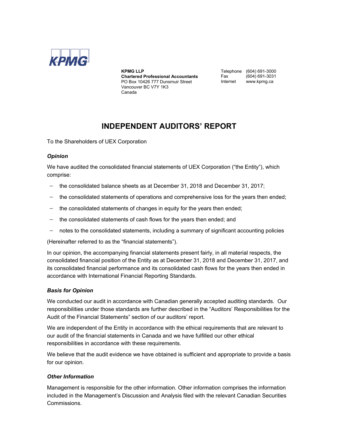

#### **KPMG LLP**

**Chartered Professional Accountants**  PO Box 10426 777 Dunsmuir Street Vancouver BC V7Y 1K3 Canada

Telephone (604) 691-3000<br>Fax (604) 691-3031 Fax (604) 691-3031 www.kpmg.ca

### **INDEPENDENT AUDITORS' REPORT**

To the Shareholders of UEX Corporation

### *Opinion*

We have audited the consolidated financial statements of UEX Corporation ("the Entity"), which comprise:

- the consolidated balance sheets as at December 31, 2018 and December 31, 2017;
- $-$  the consolidated statements of operations and comprehensive loss for the years then ended;
- $-$  the consolidated statements of changes in equity for the years then ended;
- $-$  the consolidated statements of cash flows for the years then ended; and
- notes to the consolidated statements, including a summary of significant accounting policies

(Hereinafter referred to as the "financial statements").

In our opinion, the accompanying financial statements present fairly, in all material respects, the consolidated financial position of the Entity as at December 31, 2018 and December 31, 2017, and its consolidated financial performance and its consolidated cash flows for the years then ended in accordance with International Financial Reporting Standards.

### *Basis for Opinion*

We conducted our audit in accordance with Canadian generally accepted auditing standards. Our responsibilities under those standards are further described in the "Auditors' Responsibilities for the Audit of the Financial Statements" section of our auditors' report.

We are independent of the Entity in accordance with the ethical requirements that are relevant to our audit of the financial statements in Canada and we have fulfilled our other ethical responsibilities in accordance with these requirements.

We believe that the audit evidence we have obtained is sufficient and appropriate to provide a basis for our opinion.

### *Other Information*

Management is responsible for the other information. Other information comprises the information included in the Management's Discussion and Analysis filed with the relevant Canadian Securities Commissions.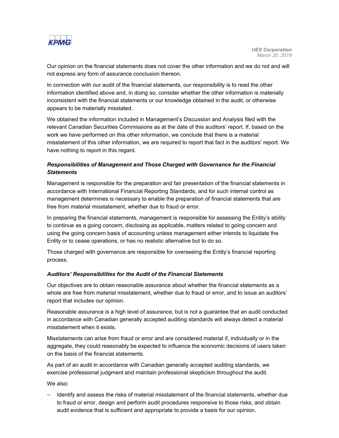

Our opinion on the financial statements does not cover the other information and we do not and will not express any form of assurance conclusion thereon.

In connection with our audit of the financial statements, our responsibility is to read the other information identified above and, in doing so, consider whether the other information is materially inconsistent with the financial statements or our knowledge obtained in the audit, or otherwise appears to be materially misstated.

We obtained the information included in Management's Discussion and Analysis filed with the relevant Canadian Securities Commissions as at the date of this auditors' report. If, based on the work we have performed on this other information, we conclude that there is a material misstatement of this other information, we are required to report that fact in the auditors' report. We have nothing to report in this regard.

### *Responsibilities of Management and Those Charged with Governance for the Financial Statements*

Management is responsible for the preparation and fair presentation of the financial statements in accordance with International Financial Reporting Standards, and for such internal control as management determines is necessary to enable the preparation of financial statements that are free from material misstatement, whether due to fraud or error.

In preparing the financial statements, management is responsible for assessing the Entity's ability to continue as a going concern, disclosing as applicable, matters related to going concern and using the going concern basis of accounting unless management either intends to liquidate the Entity or to cease operations, or has no realistic alternative but to do so.

Those charged with governance are responsible for overseeing the Entity's financial reporting process.

### *Auditors' Responsibilities for the Audit of the Financial Statements*

Our objectives are to obtain reasonable assurance about whether the financial statements as a whole are free from material misstatement, whether due to fraud or error, and to issue an auditors' report that includes our opinion.

Reasonable assurance is a high level of assurance, but is not a guarantee that an audit conducted in accordance with Canadian generally accepted auditing standards will always detect a material misstatement when it exists.

Misstatements can arise from fraud or error and are considered material if, individually or in the aggregate, they could reasonably be expected to influence the economic decisions of users taken on the basis of the financial statements.

As part of an audit in accordance with Canadian generally accepted auditing standards, we exercise professional judgment and maintain professional skepticism throughout the audit.

We also:

- Identify and assess the risks of material misstatement of the financial statements, whether due to fraud or error, design and perform audit procedures responsive to those risks, and obtain audit evidence that is sufficient and appropriate to provide a basis for our opinion.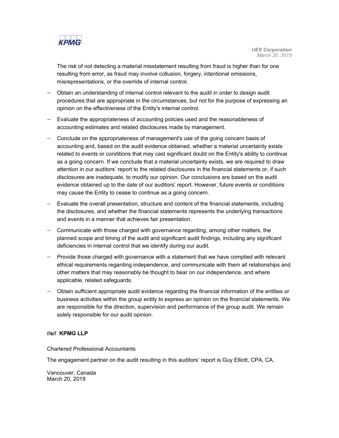

The risk of not detecting a material misstatement resulting from fraud is higher than for one resulting from error, as fraud may involve collusion, forgery, intentional omissions, misrepresentations, or the override of internal control.

- Obtain an understanding of internal control relevant to the audit in order to design audit procedures that are appropriate in the circumstances, but not for the purpose of expressing an opinion on the effectiveness of the Entity's internal control.
- Evaluate the appropriateness of accounting policies used and the reasonableness of accounting estimates and related disclosures made by management.
- Conclude on the appropriateness of management's use of the going concern basis of accounting and, based on the audit evidence obtained, whether a material uncertainty exists related to events or conditions that may cast significant doubt on the Entity's ability to continue as a going concern. If we conclude that a material uncertainty exists, we are required to draw attention in our auditors' report to the related disclosures in the financial statements or, if such disclosures are inadequate, to modify our opinion. Our conclusions are based on the audit evidence obtained up to the date of our auditors' report. However, future events or conditions may cause the Entity to cease to continue as a going concern.
- Evaluate the overall presentation, structure and content of the financial statements, including the disclosures, and whether the financial statements represents the underlying transactions and events in a manner that achieves fair presentation.
- Communicate with those charged with governance regarding, among other matters, the planned scope and timing of the audit and significant audit findings, including any significant deficiencies in internal control that we identify during our audit.
- Provide those charged with governance with a statement that we have complied with relevant ethical requirements regarding independence, and communicate with them all relationships and other matters that may reasonably be thought to bear on our independence, and where applicable, related safeguards.
- Obtain sufficient appropriate audit evidence regarding the financial information of the entities or business activities within the group entity to express an opinion on the financial statements. We are responsible for the direction, supervision and performance of the group audit. We remain solely responsible for our audit opinion.

### **//s// KPMG LLP**

Chartered Professional Accountants

The engagement partner on the audit resulting in this auditors' report is Guy Elliott, CPA, CA.

Vancouver, Canada March 20, 2019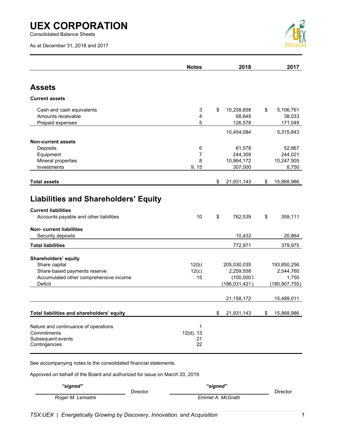Consolidated Balance Sheets

As at December 31, 2018 and 2017



|                                                                                                                            | <b>Notes</b>                  | 2018                                                     | 2017                                                 |
|----------------------------------------------------------------------------------------------------------------------------|-------------------------------|----------------------------------------------------------|------------------------------------------------------|
| <b>Assets</b>                                                                                                              |                               |                                                          |                                                      |
| <b>Current assets</b>                                                                                                      |                               |                                                          |                                                      |
| Cash and cash equivalents<br>Amounts receivable<br>Prepaid expenses                                                        | 3<br>4<br>5                   | \$<br>10,258,858<br>68,648<br>126,578                    | \$<br>5,106,761<br>38,033<br>171,049                 |
|                                                                                                                            |                               | 10,454,084                                               | 5,315,843                                            |
| <b>Non-current assets</b><br>Deposits<br>Equipment<br>Mineral properties<br>Investments                                    | 6<br>7<br>8<br>9, 15          | 61,578<br>244,309<br>10,864,172<br>307,000               | 52,867<br>244,021<br>10,247,505<br>8,750             |
| <b>Total assets</b>                                                                                                        |                               | \$<br>21,931,143                                         | \$<br>15,868,986                                     |
| <b>Liabilities and Shareholders' Equity</b><br><b>Current liabilities</b><br>Accounts payable and other liabilities        | 10                            | \$<br>762,539                                            | \$<br>359,111                                        |
| <b>Non-current liabilities</b>                                                                                             |                               |                                                          |                                                      |
| Security deposits<br><b>Total liabilities</b>                                                                              |                               | 10,432<br>772,971                                        | 20,864<br>379,975                                    |
| Shareholders' equity<br>Share capital<br>Share-based payments reserve<br>Accumulated other comprehensive income<br>Deficit | 12(b)<br>12(c)<br>15          | 205,030,035<br>2,259,558<br>(100,000)<br>(186, 031, 421) | 193,850,256<br>2,544,760<br>1,750<br>(180, 907, 755) |
|                                                                                                                            |                               | 21, 158, 172                                             | 15,489,011                                           |
| Total liabilities and shareholders' equity                                                                                 |                               | \$<br>21,931,143                                         | \$<br>15,868,986                                     |
| Nature and continuance of operations<br>Commitments<br>Subsequent events<br>Contingencies                                  | 1<br>$12(d)$ , 13<br>21<br>22 |                                                          |                                                      |

See accompanying notes to the consolidated financial statements.

Approved on behalf of the Board and authorized for issue on March 20, 2019.

| "signed"          |          | "signed"         |          |
|-------------------|----------|------------------|----------|
|                   | Director |                  | Director |
| Roger M. Lemaitre |          | Emmet A. McGrath |          |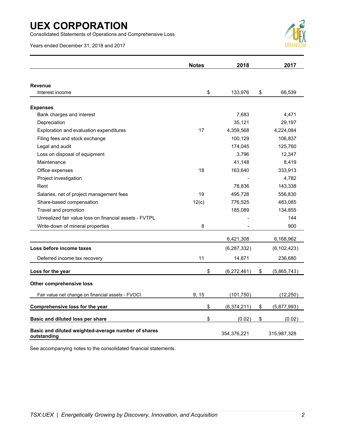Consolidated Statements of Operations and Comprehensive Loss

Years ended December 31, 2018 and 2017



|                                                                    | <b>Notes</b> | 2018          | 2017              |
|--------------------------------------------------------------------|--------------|---------------|-------------------|
|                                                                    |              |               |                   |
| <b>Revenue</b>                                                     |              |               |                   |
| Interest income                                                    | \$           | 133,976       | \$<br>66,539      |
| <b>Expenses</b>                                                    |              |               |                   |
| Bank charges and interest                                          |              | 7,683         | 4,471             |
| Depreciation                                                       |              | 35,121        | 29,197            |
| Exploration and evaluation expenditures                            | 17           | 4,359,568     | 4,224,084         |
| Filing fees and stock exchange                                     |              | 100,129       | 106,837           |
| Legal and audit                                                    |              | 174,045       | 125,760           |
| Loss on disposal of equipment                                      |              | 3,796         | 12,347            |
| Maintenance                                                        |              | 41,148        | 8,419             |
| Office expenses                                                    | 18           | 163,640       | 333,913           |
| Project investigation                                              |              |               | 4,782             |
| Rent                                                               |              | 78,836        | 143,338           |
| Salaries, net of project management fees                           | 19           | 495,728       | 556,830           |
| Share-based compensation                                           | 12(c)        | 776,525       | 483,085           |
| Travel and promotion                                               |              | 185,089       | 134,855           |
| Unrealized fair value loss on financial assets - FVTPL             |              |               | 144               |
| Write-down of mineral properties                                   | 8            |               | 900               |
|                                                                    |              | 6,421,308     | 6,168,962         |
| Loss before income taxes                                           |              | (6, 287, 332) | (6, 102, 423)     |
| Deferred income tax recovery                                       | 11           | 14,871        | 236,680           |
| Loss for the year                                                  | \$           | (6, 272, 461) | \$<br>(5,865,743) |
| Other comprehensive loss                                           |              |               |                   |
| Fair value net change on financial assets - FVOCI                  | 9, 15        | (101, 750)    | (12, 250)         |
| Comprehensive loss for the year                                    | \$           | (6,374,211)   | \$<br>(5,877,993) |
| Basic and diluted loss per share                                   | \$           | (0.02)        | \$<br>(0.02)      |
| Basic and diluted weighted-average number of shares<br>outstanding |              | 354,376,221   | 315,987,328       |

See accompanying notes to the consolidated financial statements.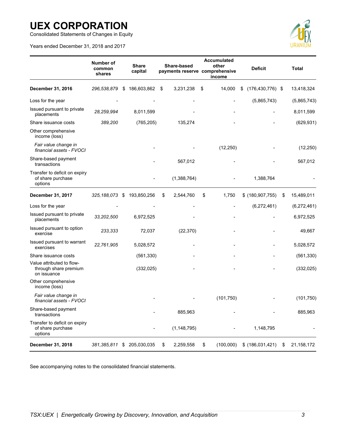Consolidated Statements of Changes in Equity

Years ended December 31, 2018 and 2017



|                                                                   | Number of<br>common<br>shares | <b>Share</b><br>capital | Share-based<br>payments reserve comprehensive | Accumulated<br>other<br>income | <b>Deficit</b>             |    | <b>Total</b> |
|-------------------------------------------------------------------|-------------------------------|-------------------------|-----------------------------------------------|--------------------------------|----------------------------|----|--------------|
| December 31, 2016                                                 | 296,538,879                   | \$<br>186,603,862       | \$<br>3,231,238                               | \$<br>14,000                   | \$<br>$(176, 430, 776)$ \$ |    | 13,418,324   |
| Loss for the year                                                 |                               |                         |                                               |                                | (5,865,743)                |    | (5,865,743)  |
| Issued pursuant to private<br>placements                          | 28,259,994                    | 8,011,599               |                                               |                                |                            |    | 8,011,599    |
| Share issuance costs                                              | 389,200                       | (765, 205)              | 135,274                                       |                                |                            |    | (629, 931)   |
| Other comprehensive<br>income (loss)                              |                               |                         |                                               |                                |                            |    |              |
| Fair value change in<br>financial assets - FVOCI                  |                               |                         |                                               | (12, 250)                      |                            |    | (12, 250)    |
| Share-based payment<br>transactions                               |                               |                         | 567,012                                       |                                |                            |    | 567,012      |
| Transfer to deficit on expiry<br>of share purchase<br>options     |                               |                         | (1,388,764)                                   |                                | 1,388,764                  |    |              |
| December 31, 2017                                                 | 325, 188, 073                 | \$<br>193,850,256       | \$<br>2,544,760                               | \$<br>1,750                    | \$ (180, 907, 755)         | \$ | 15,489,011   |
| Loss for the year                                                 |                               |                         |                                               |                                | (6,272,461)                |    | (6,272,461)  |
| Issued pursuant to private<br>placements                          | 33,202,500                    | 6,972,525               |                                               |                                |                            |    | 6,972,525    |
| Issued pursuant to option<br>exercise                             | 233,333                       | 72,037                  | (22, 370)                                     |                                |                            |    | 49,667       |
| Issued pursuant to warrant<br>exercises                           | 22,761,905                    | 5,028,572               |                                               |                                |                            |    | 5,028,572    |
| Share issuance costs                                              |                               | (561, 330)              |                                               |                                |                            |    | (561, 330)   |
| Value attributed to flow-<br>through share premium<br>on issuance |                               | (332, 025)              |                                               |                                |                            |    | (332, 025)   |
| Other comprehensive<br>income (loss)                              |                               |                         |                                               |                                |                            |    |              |
| Fair value change in<br>financial assets - FVOCI                  |                               |                         |                                               | (101, 750)                     |                            |    | (101, 750)   |
| Share-based payment<br>transactions                               |                               |                         | 885,963                                       |                                |                            |    | 885,963      |
| Transfer to deficit on expiry<br>of share purchase<br>options     |                               |                         | (1, 148, 795)                                 |                                | 1,148,795                  |    |              |
| December 31, 2018                                                 | 381,385,811                   | \$<br>205,030,035       | \$<br>2,259,558                               | \$<br>(100,000)                | \$ (186,031,421)           | S. | 21,158,172   |

See accompanying notes to the consolidated financial statements.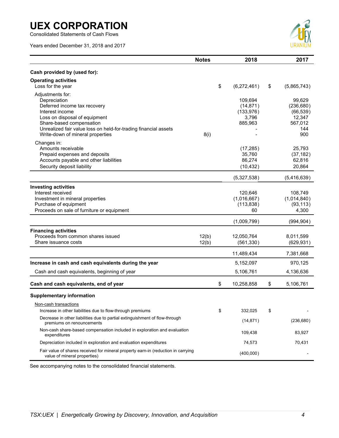Consolidated Statements of Cash Flows

Years ended December 31, 2018 and 2017



|                                                                                                                                                                                                                                                         | <b>Notes</b>   | 2018                                                   | 2017                                                                 |
|---------------------------------------------------------------------------------------------------------------------------------------------------------------------------------------------------------------------------------------------------------|----------------|--------------------------------------------------------|----------------------------------------------------------------------|
| Cash provided by (used for):                                                                                                                                                                                                                            |                |                                                        |                                                                      |
| <b>Operating activities</b><br>Loss for the year                                                                                                                                                                                                        |                | \$<br>(6,272,461)                                      | \$<br>(5,865,743)                                                    |
| Adjustments for:<br>Depreciation<br>Deferred income tax recovery<br>Interest income<br>Loss on disposal of equipment<br>Share-based compensation<br>Unrealized fair value loss on held-for-trading financial assets<br>Write-down of mineral properties | 8(i)           | 109,694<br>(14, 871)<br>(133, 976)<br>3,796<br>885,963 | 99,629<br>(236, 680)<br>(66, 539)<br>12,347<br>567,012<br>144<br>900 |
| Changes in:<br>Amounts receivable<br>Prepaid expenses and deposits<br>Accounts payable and other liabilities<br>Security deposit liability                                                                                                              |                | (17, 285)<br>35,760<br>86,274<br>(10, 432)             | 25,793<br>(37, 182)<br>62,816<br>20,864                              |
|                                                                                                                                                                                                                                                         |                | (5,327,538)                                            | (5,416,639)                                                          |
| <b>Investing activities</b><br>Interest received<br>Investment in mineral properties<br>Purchase of equipment<br>Proceeds on sale of furniture or equipment                                                                                             |                | 120,646<br>(1,016,667)<br>(113, 838)<br>60             | 108,749<br>(1,014,840)<br>(93, 113)<br>4,300                         |
|                                                                                                                                                                                                                                                         |                | (1,009,799)                                            | (994, 904)                                                           |
| <b>Financing activities</b><br>Proceeds from common shares issued<br>Share issuance costs                                                                                                                                                               | 12(b)<br>12(b) | 12,050,764<br>(561, 330)                               | 8,011,599<br>(629, 931)                                              |
|                                                                                                                                                                                                                                                         |                | 11,489,434                                             | 7,381,668                                                            |
| Increase in cash and cash equivalents during the year<br>Cash and cash equivalents, beginning of year                                                                                                                                                   |                | 5,152,097<br>5,106,761                                 | 970,125<br>4,136,636                                                 |
| Cash and cash equivalents, end of year                                                                                                                                                                                                                  |                | \$<br>10,258,858                                       | \$<br>5,106,761                                                      |
| <b>Supplementary information</b>                                                                                                                                                                                                                        |                |                                                        |                                                                      |
| Non-cash transactions<br>Increase in other liabilities due to flow-through premiums                                                                                                                                                                     |                | \$<br>332,025                                          | \$                                                                   |
| Decrease in other liabilities due to partial extinguishment of flow-through<br>premiums on renouncements                                                                                                                                                |                | (14, 871)                                              | (236, 680)                                                           |
| Non-cash share-based compensation included in exploration and evaluation<br>expenditures                                                                                                                                                                |                | 109,438                                                | 83,927                                                               |
| Depreciation included in exploration and evaluation expenditures                                                                                                                                                                                        |                | 74,573                                                 | 70,431                                                               |
| Fair value of shares received for mineral property earn-in (reduction in carrying<br>value of mineral properties)                                                                                                                                       |                | (400,000)                                              |                                                                      |

See accompanying notes to the consolidated financial statements.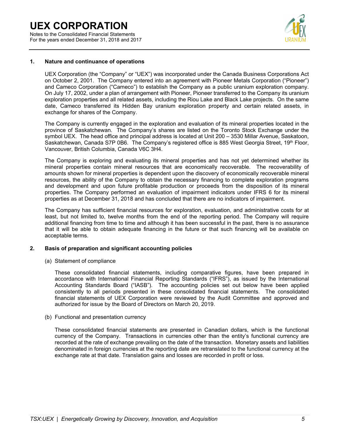Notes to the Consolidated Financial Statements For the years ended December 31, 2018 and 2017



### **1. Nature and continuance of operations**

UEX Corporation (the "Company" or "UEX") was incorporated under the Canada Business Corporations Act on October 2, 2001. The Company entered into an agreement with Pioneer Metals Corporation ("Pioneer") and Cameco Corporation ("Cameco") to establish the Company as a public uranium exploration company. On July 17, 2002, under a plan of arrangement with Pioneer, Pioneer transferred to the Company its uranium exploration properties and all related assets, including the Riou Lake and Black Lake projects. On the same date, Cameco transferred its Hidden Bay uranium exploration property and certain related assets, in exchange for shares of the Company.

The Company is currently engaged in the exploration and evaluation of its mineral properties located in the province of Saskatchewan. The Company's shares are listed on the Toronto Stock Exchange under the symbol UEX. The head office and principal address is located at Unit 200 – 3530 Millar Avenue, Saskatoon, Saskatchewan, Canada S7P 0B6. The Company's registered office is 885 West Georgia Street, 19<sup>th</sup> Floor, Vancouver, British Columbia, Canada V6C 3H4.

The Company is exploring and evaluating its mineral properties and has not yet determined whether its mineral properties contain mineral resources that are economically recoverable. The recoverability of amounts shown for mineral properties is dependent upon the discovery of economically recoverable mineral resources, the ability of the Company to obtain the necessary financing to complete exploration programs and development and upon future profitable production or proceeds from the disposition of its mineral properties. The Company performed an evaluation of impairment indicators under IFRS 6 for its mineral properties as at December 31, 2018 and has concluded that there are no indicators of impairment.

The Company has sufficient financial resources for exploration, evaluation, and administrative costs for at least, but not limited to, twelve months from the end of the reporting period. The Company will require additional financing from time to time and although it has been successful in the past, there is no assurance that it will be able to obtain adequate financing in the future or that such financing will be available on acceptable terms.

### **2. Basis of preparation and significant accounting policies**

(a) Statement of compliance

These consolidated financial statements, including comparative figures, have been prepared in accordance with International Financial Reporting Standards ("IFRS"), as issued by the International Accounting Standards Board ("IASB"). The accounting policies set out below have been applied consistently to all periods presented in these consolidated financial statements. The consolidated financial statements of UEX Corporation were reviewed by the Audit Committee and approved and authorized for issue by the Board of Directors on March 20, 2019.

(b) Functional and presentation currency

These consolidated financial statements are presented in Canadian dollars, which is the functional currency of the Company. Transactions in currencies other than the entity's functional currency are recorded at the rate of exchange prevailing on the date of the transaction. Monetary assets and liabilities denominated in foreign currencies at the reporting date are retranslated to the functional currency at the exchange rate at that date. Translation gains and losses are recorded in profit or loss.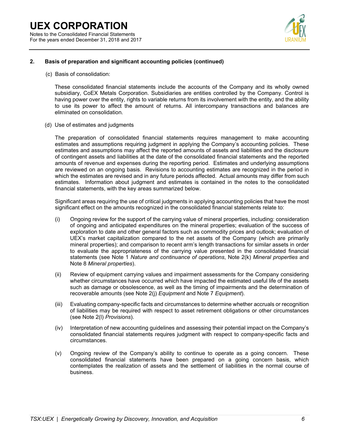

### **2. Basis of preparation and significant accounting policies (continued)**

(c) Basis of consolidation:

 These consolidated financial statements include the accounts of the Company and its wholly owned subsidiary, CoEX Metals Corporation. Subsidiaries are entities controlled by the Company. Control is having power over the entity, rights to variable returns from its involvement with the entity, and the ability to use its power to affect the amount of returns. All intercompany transactions and balances are eliminated on consolidation.

(d) Use of estimates and judgments

The preparation of consolidated financial statements requires management to make accounting estimates and assumptions requiring judgment in applying the Company's accounting policies. These estimates and assumptions may affect the reported amounts of assets and liabilities and the disclosure of contingent assets and liabilities at the date of the consolidated financial statements and the reported amounts of revenue and expenses during the reporting period. Estimates and underlying assumptions are reviewed on an ongoing basis. Revisions to accounting estimates are recognized in the period in which the estimates are revised and in any future periods affected. Actual amounts may differ from such estimates. Information about judgment and estimates is contained in the notes to the consolidated financial statements, with the key areas summarized below.

Significant areas requiring the use of critical judgments in applying accounting policies that have the most significant effect on the amounts recognized in the consolidated financial statements relate to:

- (i) Ongoing review for the support of the carrying value of mineral properties, including: consideration of ongoing and anticipated expenditures on the mineral properties; evaluation of the success of exploration to date and other general factors such as commodity prices and outlook; evaluation of UEX's market capitalization compared to the net assets of the Company (which are primarily mineral properties); and comparison to recent arm's length transactions for similar assets in order to evaluate the appropriateness of the carrying value presented in the consolidated financial statements (see Note 1 *Nature and continuance of operations*, Note 2(k) *Mineral properties* and Note 8 *Mineral properties*).
- (ii) Review of equipment carrying values and impairment assessments for the Company considering whether circumstances have occurred which have impacted the estimated useful life of the assets such as damage or obsolescence, as well as the timing of impairments and the determination of recoverable amounts (see Note 2(j) *Equipment* and Note 7 *Equipment*).
- (iii) Evaluating company-specific facts and circumstances to determine whether accruals or recognition of liabilities may be required with respect to asset retirement obligations or other circumstances (see Note 2(l) *Provisions*).
- (iv) Interpretation of new accounting guidelines and assessing their potential impact on the Company's consolidated financial statements requires judgment with respect to company-specific facts and circumstances.
- (v) Ongoing review of the Company's ability to continue to operate as a going concern. These consolidated financial statements have been prepared on a going concern basis, which contemplates the realization of assets and the settlement of liabilities in the normal course of business.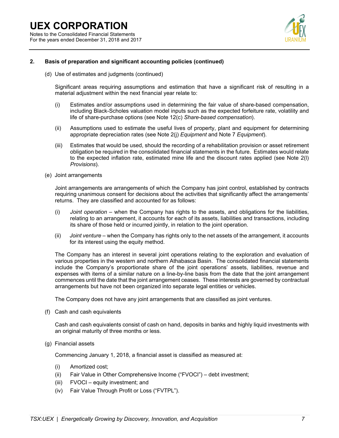### **UEX CORPORATION**  Notes to the Consolidated Financial Statements For the years ended December 31, 2018 and 2017



### **2. Basis of preparation and significant accounting policies (continued)**

(d) Use of estimates and judgments (continued)

Significant areas requiring assumptions and estimation that have a significant risk of resulting in a material adjustment within the next financial year relate to:

- (i) Estimates and/or assumptions used in determining the fair value of share-based compensation, including Black-Scholes valuation model inputs such as the expected forfeiture rate, volatility and life of share-purchase options (see Note 12(c) *Share-based compensation*).
- (ii) Assumptions used to estimate the useful lives of property, plant and equipment for determining appropriate depreciation rates (see Note 2(j) *Equipment* and Note 7 *Equipment*).
- (iii) Estimates that would be used, should the recording of a rehabilitation provision or asset retirement obligation be required in the consolidated financial statements in the future. Estimates would relate to the expected inflation rate, estimated mine life and the discount rates applied (see Note 2(l) *Provisions*).
- (e) Joint arrangements

Joint arrangements are arrangements of which the Company has joint control, established by contracts requiring unanimous consent for decisions about the activities that significantly affect the arrangements' returns. They are classified and accounted for as follows:

- (i) *Joint operation* when the Company has rights to the assets, and obligations for the liabilities, relating to an arrangement, it accounts for each of its assets, liabilities and transactions, including its share of those held or incurred jointly, in relation to the joint operation.
- (ii) *Joint venture* when the Company has rights only to the net assets of the arrangement, it accounts for its interest using the equity method.

The Company has an interest in several joint operations relating to the exploration and evaluation of various properties in the western and northern Athabasca Basin. The consolidated financial statements include the Company's proportionate share of the joint operations' assets, liabilities, revenue and expenses with items of a similar nature on a line-by-line basis from the date that the joint arrangement commences until the date that the joint arrangement ceases. These interests are governed by contractual arrangements but have not been organized into separate legal entities or vehicles.

The Company does not have any joint arrangements that are classified as joint ventures.

(f) Cash and cash equivalents

Cash and cash equivalents consist of cash on hand, deposits in banks and highly liquid investments with an original maturity of three months or less.

(g) Financial assets

Commencing January 1, 2018, a financial asset is classified as measured at:

- (i) Amortized cost;
- (ii) Fair Value in Other Comprehensive Income ("FVOCI") debt investment;
- (iii) FVOCI equity investment; and
- (iv) Fair Value Through Profit or Loss ("FVTPL").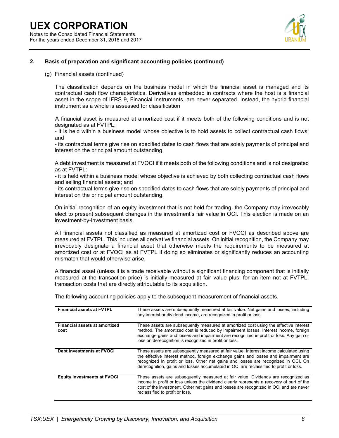

### **2. Basis of preparation and significant accounting policies (continued)**

(g) Financial assets (continued)

The classification depends on the business model in which the financial asset is managed and its contractual cash flow characteristics. Derivatives embedded in contracts where the host is a financial asset in the scope of IFRS 9, Financial Instruments, are never separated. Instead, the hybrid financial instrument as a whole is assessed for classification

A financial asset is measured at amortized cost if it meets both of the following conditions and is not designated as at FVTPL:

- it is held within a business model whose objective is to hold assets to collect contractual cash flows; and

- its contractual terms give rise on specified dates to cash flows that are solely payments of principal and interest on the principal amount outstanding.

A debt investment is measured at FVOCI if it meets both of the following conditions and is not designated as at FVTPL:

- it is held within a business model whose objective is achieved by both collecting contractual cash flows and selling financial assets; and

- its contractual terms give rise on specified dates to cash flows that are solely payments of principal and interest on the principal amount outstanding.

On initial recognition of an equity investment that is not held for trading, the Company may irrevocably elect to present subsequent changes in the investment's fair value in OCI. This election is made on an investment-by-investment basis.

All financial assets not classified as measured at amortized cost or FVOCI as described above are measured at FVTPL. This includes all derivative financial assets. On initial recognition, the Company may irrevocably designate a financial asset that otherwise meets the requirements to be measured at amortized cost or at FVOCI as at FVTPL if doing so eliminates or significantly reduces an accounting mismatch that would otherwise arise.

A financial asset (unless it is a trade receivable without a significant financing component that is initially measured at the transaction price) is initially measured at fair value plus, for an item not at FVTPL, transaction costs that are directly attributable to its acquisition.

| <b>Financial assets at FVTPL</b>      | These assets are subsequently measured at fair value. Net gains and losses, including<br>any interest or dividend income, are recognized in profit or loss.                                                                                                                                                                                                   |
|---------------------------------------|---------------------------------------------------------------------------------------------------------------------------------------------------------------------------------------------------------------------------------------------------------------------------------------------------------------------------------------------------------------|
| Financial assets at amortized<br>cost | These assets are subsequently measured at amortized cost using the effective interest<br>method. The amortized cost is reduced by impairment losses. Interest income, foreign<br>exchange gains and losses and impairment are recognized in profit or loss. Any gain or<br>loss on derecognition is recognized in profit or loss.                             |
| Debt investments at FVOCI             | These assets are subsequently measured at fair value. Interest income calculated using<br>the effective interest method, foreign exchange gains and losses and impairment are<br>recognized in profit or loss. Other net gains and losses are recognized in OCI. On<br>derecognition, gains and losses accumulated in OCI are reclassified to profit or loss. |
| <b>Equity investments at FVOCI</b>    | These assets are subsequently measured at fair value. Dividends are recognized as<br>income in profit or loss unless the dividend clearly represents a recovery of part of the<br>cost of the investment. Other net gains and losses are recognized in OCI and are never<br>reclassified to profit or loss.                                                   |

The following accounting policies apply to the subsequent measurement of financial assets.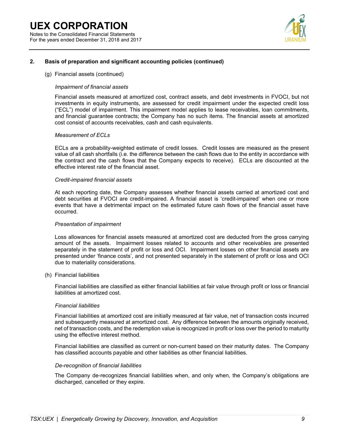### **UEX CORPORATION**  Notes to the Consolidated Financial Statements For the years ended December 31, 2018 and 2017



### **2. Basis of preparation and significant accounting policies (continued)**

#### (g) Financial assets (continued)

### *Impairment of financial assets*

Financial assets measured at amortized cost, contract assets, and debt investments in FVOCI, but not investments in equity instruments, are assessed for credit impairment under the expected credit loss ("ECL") model of impairment. This impairment model applies to lease receivables, loan commitments, and financial guarantee contracts; the Company has no such items. The financial assets at amortized cost consist of accounts receivables, cash and cash equivalents.

#### *Measurement of ECLs*

ECLs are a probability-weighted estimate of credit losses. Credit losses are measured as the present value of all cash shortfalls (i.e. the difference between the cash flows due to the entity in accordance with the contract and the cash flows that the Company expects to receive). ECLs are discounted at the effective interest rate of the financial asset.

#### *Credit-impaired financial assets*

At each reporting date, the Company assesses whether financial assets carried at amortized cost and debt securities at FVOCI are credit-impaired. A financial asset is 'credit-impaired' when one or more events that have a detrimental impact on the estimated future cash flows of the financial asset have occurred.

#### *Presentation of impairment*

Loss allowances for financial assets measured at amortized cost are deducted from the gross carrying amount of the assets. Impairment losses related to accounts and other receivables are presented separately in the statement of profit or loss and OCI. Impairment losses on other financial assets are presented under 'finance costs', and not presented separately in the statement of profit or loss and OCI due to materiality considerations.

#### (h) Financial liabilities

Financial liabilities are classified as either financial liabilities at fair value through profit or loss or financial liabilities at amortized cost.

#### *Financial liabilities*

Financial liabilities at amortized cost are initially measured at fair value, net of transaction costs incurred and subsequently measured at amortized cost. Any difference between the amounts originally received, net of transaction costs, and the redemption value is recognized in profit or loss over the period to maturity using the effective interest method.

Financial liabilities are classified as current or non-current based on their maturity dates. The Company has classified accounts payable and other liabilities as other financial liabilities.

#### *De-recognition of financial liabilities*

The Company de-recognizes financial liabilities when, and only when, the Company's obligations are discharged, cancelled or they expire.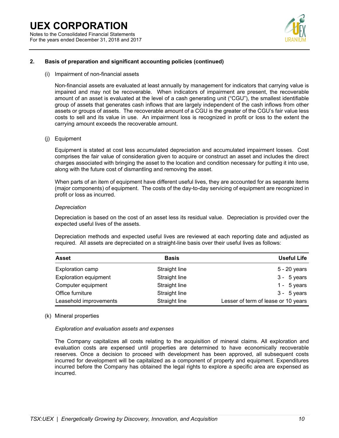

### **2. Basis of preparation and significant accounting policies (continued)**

(i) Impairment of non-financial assets

Non-financial assets are evaluated at least annually by management for indicators that carrying value is impaired and may not be recoverable. When indicators of impairment are present, the recoverable amount of an asset is evaluated at the level of a cash generating unit ("CGU"), the smallest identifiable group of assets that generates cash inflows that are largely independent of the cash inflows from other assets or groups of assets. The recoverable amount of a CGU is the greater of the CGU's fair value less costs to sell and its value in use. An impairment loss is recognized in profit or loss to the extent the carrying amount exceeds the recoverable amount.

#### (j) Equipment

Equipment is stated at cost less accumulated depreciation and accumulated impairment losses. Cost comprises the fair value of consideration given to acquire or construct an asset and includes the direct charges associated with bringing the asset to the location and condition necessary for putting it into use, along with the future cost of dismantling and removing the asset.

When parts of an item of equipment have different useful lives, they are accounted for as separate items (major components) of equipment. The costs of the day-to-day servicing of equipment are recognized in profit or loss as incurred.

#### *Depreciation*

Depreciation is based on the cost of an asset less its residual value. Depreciation is provided over the expected useful lives of the assets.

Depreciation methods and expected useful lives are reviewed at each reporting date and adjusted as required. All assets are depreciated on a straight-line basis over their useful lives as follows:

| <b>Asset</b>                 | <b>Basis</b>  | <b>Useful Life</b>                  |
|------------------------------|---------------|-------------------------------------|
| Exploration camp             | Straight line | 5 - 20 years                        |
| <b>Exploration equipment</b> | Straight line | $3 - 5$ years                       |
| Computer equipment           | Straight line | 1 - $5$ years                       |
| Office furniture             | Straight line | $3 - 5$ years                       |
| Leasehold improvements       | Straight line | Lesser of term of lease or 10 years |

### (k) Mineral properties

### *Exploration and evaluation assets and expenses*

The Company capitalizes all costs relating to the acquisition of mineral claims. All exploration and evaluation costs are expensed until properties are determined to have economically recoverable reserves. Once a decision to proceed with development has been approved, all subsequent costs incurred for development will be capitalized as a component of property and equipment. Expenditures incurred before the Company has obtained the legal rights to explore a specific area are expensed as incurred.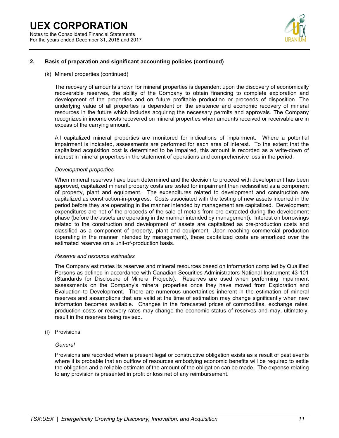

### **2. Basis of preparation and significant accounting policies (continued)**

(k) Mineral properties (continued)

The recovery of amounts shown for mineral properties is dependent upon the discovery of economically recoverable reserves, the ability of the Company to obtain financing to complete exploration and development of the properties and on future profitable production or proceeds of disposition. The underlying value of all properties is dependent on the existence and economic recovery of mineral resources in the future which includes acquiring the necessary permits and approvals. The Company recognizes in income costs recovered on mineral properties when amounts received or receivable are in excess of the carrying amount.

All capitalized mineral properties are monitored for indications of impairment. Where a potential impairment is indicated, assessments are performed for each area of interest. To the extent that the capitalized acquisition cost is determined to be impaired, this amount is recorded as a write-down of interest in mineral properties in the statement of operations and comprehensive loss in the period.

#### *Development properties*

When mineral reserves have been determined and the decision to proceed with development has been approved, capitalized mineral property costs are tested for impairment then reclassified as a component of property, plant and equipment. The expenditures related to development and construction are capitalized as construction-in-progress. Costs associated with the testing of new assets incurred in the period before they are operating in the manner intended by management are capitalized. Development expenditures are net of the proceeds of the sale of metals from ore extracted during the development phase (before the assets are operating in the manner intended by management). Interest on borrowings related to the construction and development of assets are capitalized as pre-production costs and classified as a component of property, plant and equipment. Upon reaching commercial production (operating in the manner intended by management), these capitalized costs are amortized over the estimated reserves on a unit-of-production basis.

#### *Reserve and resource estimates*

The Company estimates its reserves and mineral resources based on information compiled by Qualified Persons as defined in accordance with Canadian Securities Administrators National Instrument 43-101 (Standards for Disclosure of Mineral Projects). Reserves are used when performing impairment assessments on the Company's mineral properties once they have moved from Exploration and Evaluation to Development. There are numerous uncertainties inherent in the estimation of mineral reserves and assumptions that are valid at the time of estimation may change significantly when new information becomes available. Changes in the forecasted prices of commodities, exchange rates, production costs or recovery rates may change the economic status of reserves and may, ultimately, result in the reserves being revised.

(l) Provisions

### *General*

Provisions are recorded when a present legal or constructive obligation exists as a result of past events where it is probable that an outflow of resources embodying economic benefits will be required to settle the obligation and a reliable estimate of the amount of the obligation can be made. The expense relating to any provision is presented in profit or loss net of any reimbursement.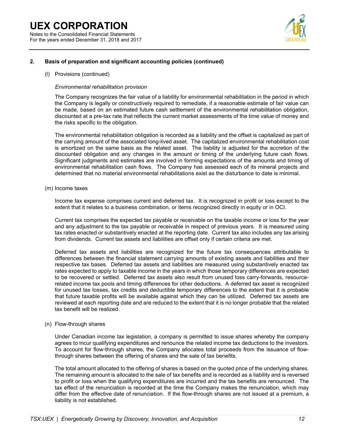### **UEX CORPORATION**  Notes to the Consolidated Financial Statements

For the years ended December 31, 2018 and 2017



### **2. Basis of preparation and significant accounting policies (continued)**

### (l) Provisions (continued)

### *Environmental rehabilitation provision*

The Company recognizes the fair value of a liability for environmental rehabilitation in the period in which the Company is legally or constructively required to remediate, if a reasonable estimate of fair value can be made, based on an estimated future cash settlement of the environmental rehabilitation obligation, discounted at a pre-tax rate that reflects the current market assessments of the time value of money and the risks specific to the obligation.

The environmental rehabilitation obligation is recorded as a liability and the offset is capitalized as part of the carrying amount of the associated long-lived asset. The capitalized environmental rehabilitation cost is amortized on the same basis as the related asset. The liability is adjusted for the accretion of the discounted obligation and any changes in the amount or timing of the underlying future cash flows. Significant judgments and estimates are involved in forming expectations of the amounts and timing of environmental rehabilitation cash flows. The Company has assessed each of its mineral projects and determined that no material environmental rehabilitations exist as the disturbance to date is minimal.

### (m) Income taxes

Income tax expense comprises current and deferred tax. It is recognized in profit or loss except to the extent that it relates to a business combination, or items recognized directly in equity or in OCI.

Current tax comprises the expected tax payable or receivable on the taxable income or loss for the year and any adjustment to the tax payable or receivable in respect of previous years. It is measured using tax rates enacted or substantively enacted at the reporting date. Current tax also includes any tax arising from dividends. Current tax assets and liabilities are offset only if certain criteria are met.

Deferred tax assets and liabilities are recognized for the future tax consequences attributable to differences between the financial statement carrying amounts of existing assets and liabilities and their respective tax bases. Deferred tax assets and liabilities are measured using substantively enacted tax rates expected to apply to taxable income in the years in which those temporary differences are expected to be recovered or settled. Deferred tax assets also result from unused loss carry-forwards, resourcerelated income tax pools and timing differences for other deductions. A deferred tax asset is recognized for unused tax losses, tax credits and deductible temporary differences to the extent that it is probable that future taxable profits will be available against which they can be utilized. Deferred tax assets are reviewed at each reporting date and are reduced to the extent that it is no longer probable that the related tax benefit will be realized.

### (n) Flow-through shares

Under Canadian income tax legislation, a company is permitted to issue shares whereby the company agrees to incur qualifying expenditures and renounce the related income tax deductions to the investors. To account for flow-through shares, the Company allocates total proceeds from the issuance of flowthrough shares between the offering of shares and the sale of tax benefits.

The total amount allocated to the offering of shares is based on the quoted price of the underlying shares. The remaining amount is allocated to the sale of tax benefits and is recorded as a liability and is reversed to profit or loss when the qualifying expenditures are incurred and the tax benefits are renounced. The tax effect of the renunciation is recorded at the time the Company makes the renunciation, which may differ from the effective date of renunciation. If the flow-through shares are not issued at a premium, a liability is not established.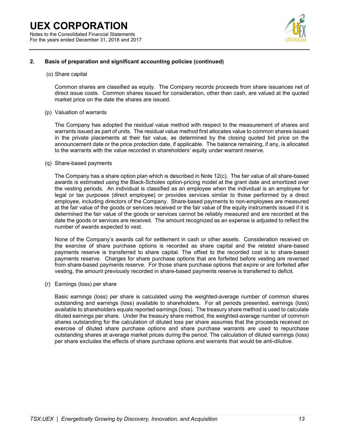

### **2. Basis of preparation and significant accounting policies (continued)**

(o) Share capital

Common shares are classified as equity. The Company records proceeds from share issuances net of direct issue costs. Common shares issued for consideration, other than cash, are valued at the quoted market price on the date the shares are issued.

(p) Valuation of warrants

The Company has adopted the residual value method with respect to the measurement of shares and warrants issued as part of units. The residual value method first allocates value to common shares issued in the private placements at their fair value, as determined by the closing quoted bid price on the announcement date or the price protection date, if applicable. The balance remaining, if any, is allocated to the warrants with the value recorded in shareholders' equity under warrant reserve.

(q) Share-based payments

The Company has a share option plan which is described in Note 12(c). The fair value of all share-based awards is estimated using the Black-Scholes option-pricing model at the grant date and amortized over the vesting periods. An individual is classified as an employee when the individual is an employee for legal or tax purposes (direct employee) or provides services similar to those performed by a direct employee, including directors of the Company. Share-based payments to non-employees are measured at the fair value of the goods or services received or the fair value of the equity instruments issued if it is determined the fair value of the goods or services cannot be reliably measured and are recorded at the date the goods or services are received. The amount recognized as an expense is adjusted to reflect the number of awards expected to vest.

None of the Company's awards call for settlement in cash or other assets. Consideration received on the exercise of share purchase options is recorded as share capital and the related share-based payments reserve is transferred to share capital. The offset to the recorded cost is to share-based payments reserve. Charges for share purchase options that are forfeited before vesting are reversed from share-based payments reserve. For those share purchase options that expire or are forfeited after vesting, the amount previously recorded in share-based payments reserve is transferred to deficit.

(r) Earnings (loss) per share

Basic earnings (loss) per share is calculated using the weighted-average number of common shares outstanding and earnings (loss) available to shareholders. For all periods presented, earnings (loss) available to shareholders equals reported earnings (loss). The treasury share method is used to calculate diluted earnings per share. Under the treasury share method, the weighted-average number of common shares outstanding for the calculation of diluted loss per share assumes that the proceeds received on exercise of diluted share purchase options and share purchase warrants are used to repurchase outstanding shares at average market prices during the period. The calculation of diluted earnings (loss) per share excludes the effects of share purchase options and warrants that would be anti-dilutive.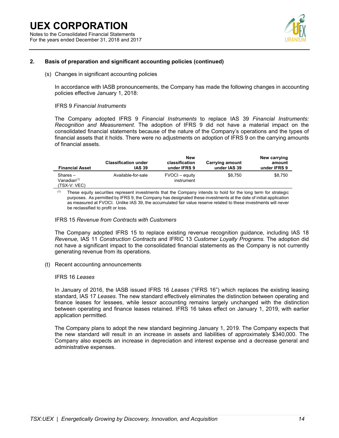For the years ended December 31, 2018 and 2017



### **2. Basis of preparation and significant accounting policies (continued)**

(s) Changes in significant accounting policies

In accordance with IASB pronouncements, the Company has made the following changes in accounting policies effective January 1, 2018:

### IFRS 9 *Financial Instruments*

The Company adopted IFRS 9 *Financial Instruments* to replace IAS 39 *Financial Instruments: Recognition and Measurement*. The adoption of IFRS 9 did not have a material impact on the consolidated financial statements because of the nature of the Company's operations and the types of financial assets that it holds. There were no adjustments on adoption of IFRS 9 on the carrying amounts of financial assets.

| <b>Financial Asset</b>                                | <b>Classification under</b><br><b>IAS 39</b> | New<br>classification<br>under IFRS 9 | <b>Carrying amount</b><br>under IAS 39 | New carrying<br>amount<br>under IFRS 9 |
|-------------------------------------------------------|----------------------------------------------|---------------------------------------|----------------------------------------|----------------------------------------|
| $Shares -$<br>Vanadian <sup>(1)</sup><br>(TSX-V: VEC) | Available-for-sale                           | FVOCI – equity<br>instrument          | \$8.750                                | \$8.750                                |

(1) These equity securities represent investments that the Company intends to hold for the long term for strategic purposes. As permitted by IFRS 9, the Company has designated these investments at the date of initial application as measured at FVOCI. Unlike IAS 39, the accumulated fair value reserve related to these investments will never be reclassified to profit or loss.

### IFRS 15 *Revenue from Contracts with Customers*

The Company adopted IFRS 15 to replace existing revenue recognition guidance, including IAS 18 *Revenue,* IAS 11 *Construction Contracts* and IFRIC 13 *Customer Loyalty Programs.* The adoption did not have a significant impact to the consolidated financial statements as the Company is not currently generating revenue from its operations.

(t) Recent accounting announcements

### IFRS 16 *Leases*

In January of 2016, the IASB issued IFRS 16 *Leases* ("IFRS 16") which replaces the existing leasing standard, IAS 17 *Leases*. The new standard effectively eliminates the distinction between operating and finance leases for lessees, while lessor accounting remains largely unchanged with the distinction between operating and finance leases retained. IFRS 16 takes effect on January 1, 2019, with earlier application permitted.

The Company plans to adopt the new standard beginning January 1, 2019. The Company expects that the new standard will result in an increase in assets and liabilities of approximately \$340,000. The Company also expects an increase in depreciation and interest expense and a decrease general and administrative expenses.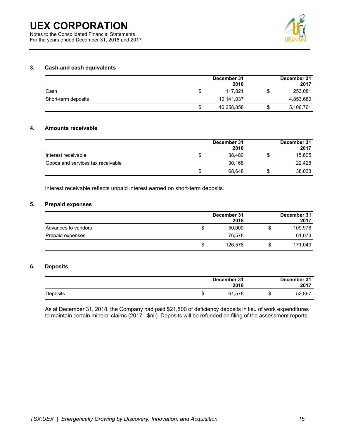Notes to the Consolidated Financial Statements For the years ended December 31, 2018 and 2017



### **3. Cash and cash equivalents**

|                     |     | December 31<br>2018 |    | December 31<br>2017 |
|---------------------|-----|---------------------|----|---------------------|
| Cash                | S   | 117.821             | ง  | 253,081             |
| Short-term deposits |     | 10,141,037          |    | 4,853,680           |
|                     | \$. | 10,258,858          | \$ | 5,106,761           |

### **4. Amounts receivable**

|                                   | December 31<br>2018 | December 31<br>2017 |
|-----------------------------------|---------------------|---------------------|
| Interest receivable               | 38.480              | 15,605              |
| Goods and services tax receivable | 30.168              | 22.428              |
|                                   | 68.648              | 38,033              |

Interest receivable reflects unpaid interest earned on short-term deposits.

### **5. Prepaid expenses**

|                     |   | December 31<br>2018 | December 31<br>2017 |
|---------------------|---|---------------------|---------------------|
| Advances to vendors | S | 50,000              | 109,976             |
| Prepaid expenses    |   | 76.578              | 61,073              |
|                     | S | 126.578             | 171,049             |

### **6. Deposits**

|          |   | December 31<br>2018 |   | December 31<br>2017 |
|----------|---|---------------------|---|---------------------|
| Deposits | Φ | 61.578              | w | 52,867              |

As at December 31, 2018, the Company had paid \$21,500 of deficiency deposits in lieu of work expenditures to maintain certain mineral claims (2017 - \$nil). Deposits will be refunded on filing of the assessment reports.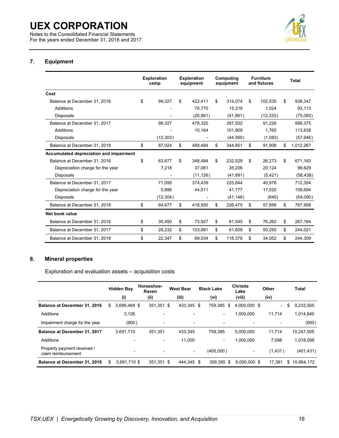Notes to the Consolidated Financial Statements For the years ended December 31, 2018 and 2017



### **7. Equipment**

|                                         | <b>Exploration</b><br>camp | <b>Exploration</b><br>equipment | Computing<br>equipment | <b>Furniture</b><br>and fixtures | <b>Total</b>    |
|-----------------------------------------|----------------------------|---------------------------------|------------------------|----------------------------------|-----------------|
| Cost                                    |                            |                                 |                        |                                  |                 |
| Balance at December 31, 2016            | \$<br>99.327               | \$<br>422.411                   | \$<br>314.074          | \$<br>102.535                    | \$<br>938,347   |
| Additions                               |                            | 76.770                          | 15,319                 | 1.024                            | 93,113          |
| <b>Disposals</b>                        |                            | (20, 861)                       | (41, 891)              | (12, 333)                        | (75,085)        |
| Balance at December 31, 2017            | 99.327                     | 478.320                         | 287.502                | 91.226                           | 956.375         |
| Additions                               |                            | 10,164                          | 101,909                | 1,765                            | 113,838         |
| <b>Disposals</b>                        | (12, 303)                  |                                 | (44, 560)              | (1,083)                          | (57, 946)       |
| Balance at December 31, 2018            | \$<br>87,024               | \$<br>488,484                   | \$<br>344,851          | \$<br>91,908                     | \$<br>1,012,267 |
| Accumulated depreciation and impairment |                            |                                 |                        |                                  |                 |
| Balance at December 31, 2016            | \$<br>63.877               | \$<br>348.484                   | \$<br>232.529          | \$<br>26.273                     | \$<br>671,163   |
| Depreciation charge for the year        | 7.218                      | 37.081                          | 35.206                 | 20.124                           | 99.629          |
| <b>Disposals</b>                        |                            | (11, 126)                       | (41, 891)              | (5, 421)                         | (58, 438)       |
| Balance at December 31, 2017            | 71,095                     | 374,439                         | 225,844                | 40.976                           | 712,354         |
| Depreciation charge for the year        | 5,886                      | 44,511                          | 41,777                 | 17,520                           | 109,694         |
| <b>Disposals</b>                        | (12, 304)                  |                                 | (41, 146)              | (640)                            | (54,090)        |
| Balance at December 31, 2018            | \$<br>64,677               | \$<br>418,950                   | \$<br>226,475          | \$<br>57,856                     | \$<br>767,958   |
| Net book value                          |                            |                                 |                        |                                  |                 |
| Balance at December 31, 2016            | \$<br>35,450               | \$<br>73,927                    | \$<br>81,545           | \$<br>76,262                     | \$<br>267,184   |
| Balance at December 31, 2017            | \$<br>28,232               | \$<br>103,881                   | \$<br>61,658           | \$<br>50,250                     | \$<br>244,021   |
| Balance at December 31, 2018            | \$<br>22,347               | \$<br>69,534                    | \$<br>118,376          | \$<br>34.052                     | \$<br>244.309   |

### **8. Mineral properties**

Exploration and evaluation assets – acquisition costs

|                                                    | <b>Hidden Bay</b>  | Horseshoe-<br>Raven | <b>West Bear</b>         | <b>Black Lake</b>        | <b>Christie</b><br>Lake  | Other          | Total            |
|----------------------------------------------------|--------------------|---------------------|--------------------------|--------------------------|--------------------------|----------------|------------------|
|                                                    | (i)                | (ii)                | (iii)                    | (vi)                     | (viii)                   | (iv)           |                  |
| <b>Balance at December 31, 2016</b>                | 3,689,484 \$<br>\$ | 351,351 \$          | 433,345                  | \$<br>759.385            | 4.000.000 \$<br>\$       | $\blacksquare$ | \$<br>9,233,565  |
| Additions                                          | 3,126              |                     |                          | $\overline{\phantom{a}}$ | 1.000.000                | 11.714         | 1,014,840        |
| Impairment charge for the year                     | (900)              |                     |                          |                          |                          |                | (900)            |
| <b>Balance at December 31, 2017</b>                | 3.691.710          | 351.351             | 433.345                  | 759.385                  | 5.000.000                | 11.714         | 10,247,505       |
| Additions                                          |                    |                     | 11,000                   | ۰.                       | 1,000,000                | 7.098          | 1,018,098        |
| Property payment received /<br>claim reimbursement |                    | -<br>-              | $\overline{\phantom{a}}$ | (400,000)                | $\overline{\phantom{a}}$ | (1,431)        | (401, 431)       |
| <b>Balance at December 31, 2018</b>                | 3.691.710 \$<br>\$ | 351.351 \$          | 444.345                  | 359.385<br>\$            | \$<br>6.000.000 \$       | 17.381         | \$<br>10.864.172 |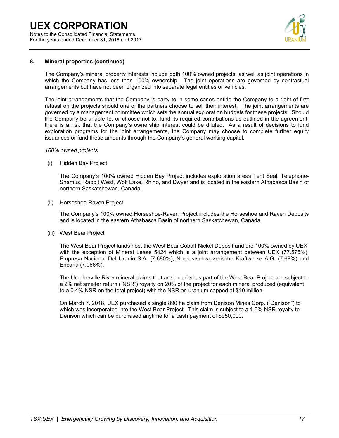Notes to the Consolidated Financial Statements For the years ended December 31, 2018 and 2017



### **8. Mineral properties (continued)**

The Company's mineral property interests include both 100% owned projects, as well as joint operations in which the Company has less than 100% ownership. The joint operations are governed by contractual arrangements but have not been organized into separate legal entities or vehicles.

The joint arrangements that the Company is party to in some cases entitle the Company to a right of first refusal on the projects should one of the partners choose to sell their interest. The joint arrangements are governed by a management committee which sets the annual exploration budgets for these projects. Should the Company be unable to, or choose not to, fund its required contributions as outlined in the agreement, there is a risk that the Company's ownership interest could be diluted. As a result of decisions to fund exploration programs for the joint arrangements, the Company may choose to complete further equity issuances or fund these amounts through the Company's general working capital.

### *100% owned projects*

(i) Hidden Bay Project

The Company's 100% owned Hidden Bay Project includes exploration areas Tent Seal, Telephone-Shamus, Rabbit West, Wolf Lake, Rhino, and Dwyer and is located in the eastern Athabasca Basin of northern Saskatchewan, Canada.

(ii) Horseshoe-Raven Project

The Company's 100% owned Horseshoe-Raven Project includes the Horseshoe and Raven Deposits and is located in the eastern Athabasca Basin of northern Saskatchewan, Canada.

(iii) West Bear Project

The West Bear Project lands host the West Bear Cobalt-Nickel Deposit and are 100% owned by UEX, with the exception of Mineral Lease 5424 which is a joint arrangement between UEX (77.575%), Empresa Nacional Del Uranio S.A. (7.680%), Nordostschweizerische Kraftwerke A.G. (7.68%) and Encana (7.066%).

The Umpherville River mineral claims that are included as part of the West Bear Project are subject to a 2% net smelter return ("NSR") royalty on 20% of the project for each mineral produced (equivalent to a 0.4% NSR on the total project) with the NSR on uranium capped at \$10 million.

On March 7, 2018, UEX purchased a single 890 ha claim from Denison Mines Corp. ("Denison") to which was incorporated into the West Bear Project. This claim is subject to a 1.5% NSR royalty to Denison which can be purchased anytime for a cash payment of \$950,000.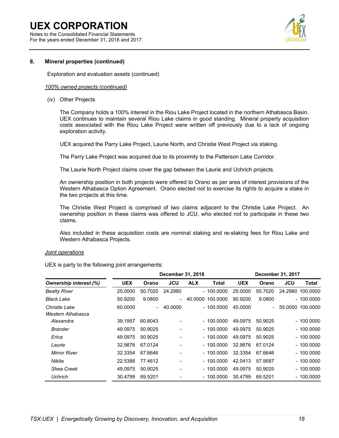Notes to the Consolidated Financial Statements For the years ended December 31, 2018 and 2017



### **8. Mineral properties (continued)**

Exploration and evaluation assets (continued)

### *100% owned projects (continued)*

(iv) Other Projects

The Company holds a 100% interest in the Riou Lake Project located in the northern Athabasca Basin. UEX continues to maintain several Riou Lake claims in good standing. Mineral property acquisition costs associated with the Riou Lake Project were written off previously due to a lack of ongoing exploration activity.

UEX acquired the Parry Lake Project, Laurie North, and Christie West Project via staking.

The Parry Lake Project was acquired due to its proximity to the Patterson Lake Corridor.

The Laurie North Project claims cover the gap between the Laurie and Uchrich projects.

An ownership position in both projects were offered to Orano as per area of interest provisions of the Western Athabasca Option Agreement. Orano elected not to exercise its rights to acquire a stake in the two projects at this time.

The Christie West Project is comprised of two claims adjacent to the Christie Lake Project. An ownership position in these claims was offered to JCU, who elected not to participate in these two claims.

Also included in these acquisition costs are nominal staking and re-staking fees for Riou Lake and Western Athabasca Projects.

### *Joint operations*

UEX is party to the following joint arrangements:

|                        |            |                          | December 31, 2018        |            |              |            |                          | December 31, 2017 |                  |
|------------------------|------------|--------------------------|--------------------------|------------|--------------|------------|--------------------------|-------------------|------------------|
| Ownership interest (%) | <b>UEX</b> | Orano                    | JCU                      | <b>ALX</b> | <b>Total</b> | <b>UEX</b> | Orano                    | <b>JCU</b>        | Total            |
| <b>Beatty River</b>    | 25,0000    | 50.7020                  | 24.2980                  |            | - 100.0000   | 25,0000    | 50.7020                  |                   | 24.2980 100.0000 |
| <b>Black Lake</b>      | 50.9200    | 9.0800                   | $\overline{\phantom{0}}$ | 40.0000    | 100.0000     | 90.9200    | 9.0800                   |                   | $-100.0000$      |
| <b>Christie Lake</b>   | 60.0000    | $\overline{\phantom{0}}$ | 40.0000                  |            | $-100.0000$  | 45.0000    | $\overline{\phantom{0}}$ |                   | 55.0000 100.0000 |
| Western Athabasca      |            |                          |                          |            |              |            |                          |                   |                  |
| Alexandra              | 39.1957    | 60.8043                  |                          |            | - 100.0000   | 49.0975    | 50.9025                  |                   | $-100.0000$      |
| <b>Brander</b>         | 49.0975    | 50.9025                  |                          |            | $-100.0000$  | 49.0975    | 50.9025                  |                   | $-100.0000$      |
| Erica                  | 49.0975    | 50.9025                  |                          |            | $-100.0000$  | 49.0975    | 50.9025                  |                   | $-100.0000$      |
| Laurie                 | 32.9876    | 67.0124                  |                          |            | - 100.0000   | 32.9876    | 67.0124                  |                   | $-100.0000$      |
| <b>Mirror River</b>    | 32.3354    | 67.6646                  |                          |            | $-100.0000$  | 32.3354    | 67.6646                  |                   | $-100.0000$      |
| Nikita                 | 22.5388    | 77.4612                  |                          |            | $-100.0000$  | 42.0413    | 57.9587                  |                   | $-100.0000$      |
| Shea Creek             | 49.0975    | 50.9025                  |                          |            | - 100.0000   | 49.0975    | 50.9025                  |                   | $-100.0000$      |
| <b>Uchrich</b>         | 30.4799    | 69.5201                  |                          |            | - 100.0000   | 30.4799    | 69.5201                  |                   | - 100.0000       |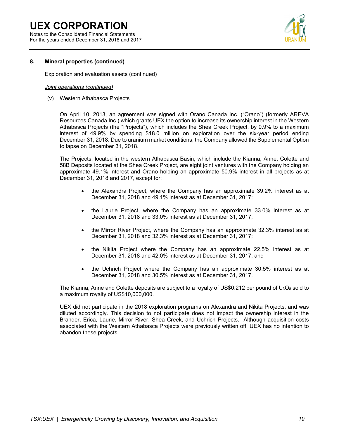Notes to the Consolidated Financial Statements For the years ended December 31, 2018 and 2017



### **8. Mineral properties (continued)**

Exploration and evaluation assets (continued)

### *Joint operations (continued)*

(v) Western Athabasca Projects

On April 10, 2013, an agreement was signed with Orano Canada Inc. ("Orano") (formerly AREVA Resources Canada Inc.) which grants UEX the option to increase its ownership interest in the Western Athabasca Projects (the "Projects"), which includes the Shea Creek Project, by 0.9% to a maximum interest of 49.9% by spending \$18.0 million on exploration over the six-year period ending December 31, 2018. Due to uranium market conditions, the Company allowed the Supplemental Option to lapse on December 31, 2018.

The Projects, located in the western Athabasca Basin, which include the Kianna, Anne, Colette and 58B Deposits located at the Shea Creek Project, are eight joint ventures with the Company holding an approximate 49.1% interest and Orano holding an approximate 50.9% interest in all projects as at December 31, 2018 and 2017, except for:

- the Alexandra Project, where the Company has an approximate 39.2% interest as at December 31, 2018 and 49.1% interest as at December 31, 2017;
- the Laurie Project, where the Company has an approximate 33.0% interest as at December 31, 2018 and 33.0% interest as at December 31, 2017;
- the Mirror River Project, where the Company has an approximate 32.3% interest as at December 31, 2018 and 32.3% interest as at December 31, 2017;
- the Nikita Project where the Company has an approximate 22.5% interest as at December 31, 2018 and 42.0% interest as at December 31, 2017; and
- the Uchrich Project where the Company has an approximate 30.5% interest as at December 31, 2018 and 30.5% interest as at December 31, 2017.

The Kianna, Anne and Colette deposits are subject to a royalty of US\$0.212 per pound of  $U_3O_8$  sold to a maximum royalty of US\$10,000,000.

UEX did not participate in the 2018 exploration programs on Alexandra and Nikita Projects, and was diluted accordingly. This decision to not participate does not impact the ownership interest in the Brander, Erica, Laurie, Mirror River, Shea Creek, and Uchrich Projects. Although acquisition costs associated with the Western Athabasca Projects were previously written off, UEX has no intention to abandon these projects.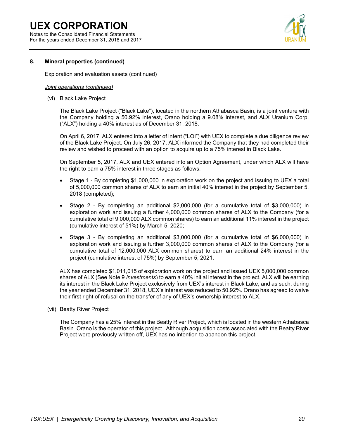Notes to the Consolidated Financial Statements For the years ended December 31, 2018 and 2017



### **8. Mineral properties (continued)**

Exploration and evaluation assets (continued)

### *Joint operations (continued)*

(vi) Black Lake Project

The Black Lake Project ("Black Lake"), located in the northern Athabasca Basin, is a joint venture with the Company holding a 50.92% interest, Orano holding a 9.08% interest, and ALX Uranium Corp. ("ALX") holding a 40% interest as of December 31, 2018.

On April 6, 2017, ALX entered into a letter of intent ("LOI") with UEX to complete a due diligence review of the Black Lake Project. On July 26, 2017, ALX informed the Company that they had completed their review and wished to proceed with an option to acquire up to a 75% interest in Black Lake.

On September 5, 2017, ALX and UEX entered into an Option Agreement, under which ALX will have the right to earn a 75% interest in three stages as follows:

- Stage 1 By completing \$1,000,000 in exploration work on the project and issuing to UEX a total of 5,000,000 common shares of ALX to earn an initial 40% interest in the project by September 5, 2018 (completed);
- Stage 2 By completing an additional \$2,000,000 (for a cumulative total of \$3,000,000) in exploration work and issuing a further 4,000,000 common shares of ALX to the Company (for a cumulative total of 9,000,000 ALX common shares) to earn an additional 11% interest in the project (cumulative interest of 51%) by March 5, 2020;
- Stage 3 By completing an additional \$3,000,000 (for a cumulative total of \$6,000,000) in exploration work and issuing a further 3,000,000 common shares of ALX to the Company (for a cumulative total of 12,000,000 ALX common shares) to earn an additional 24% interest in the project (cumulative interest of 75%) by September 5, 2021.

ALX has completed \$1,011,015 of exploration work on the project and issued UEX 5,000,000 common shares of ALX (See Note 9 *Investments*) to earn a 40% initial interest in the project. ALX will be earning its interest in the Black Lake Project exclusively from UEX's interest in Black Lake, and as such, during the year ended December 31, 2018, UEX's interest was reduced to 50.92%. Orano has agreed to waive their first right of refusal on the transfer of any of UEX's ownership interest to ALX.

(vii) Beatty River Project

The Company has a 25% interest in the Beatty River Project, which is located in the western Athabasca Basin. Orano is the operator of this project. Although acquisition costs associated with the Beatty River Project were previously written off, UEX has no intention to abandon this project.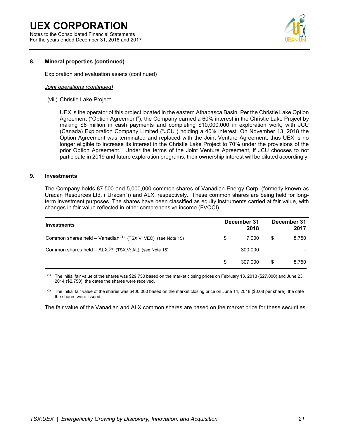Notes to the Consolidated Financial Statements For the years ended December 31, 2018 and 2017



### **8. Mineral properties (continued)**

Exploration and evaluation assets (continued)

### *Joint operations (continued)*

(viii) Christie Lake Project

UEX is the operator of this project located in the eastern Athabasca Basin. Per the Christie Lake Option Agreement ("Option Agreement"), the Company earned a 60% interest in the Christie Lake Project by making \$6 million in cash payments and completing \$10,000,000 in exploration work, with JCU (Canada) Exploration Company Limited ("JCU") holding a 40% interest. On November 13, 2018 the Option Agreement was terminated and replaced with the Joint Venture Agreement, thus UEX is no longer eligible to increase its interest in the Christie Lake Project to 70% under the provisions of the prior Option Agreement. Under the terms of the Joint Venture Agreement, if JCU chooses to not participate in 2019 and future exploration programs, their ownership interest will be diluted accordingly.

### **9. Investments**

The Company holds 87,500 and 5,000,000 common shares of Vanadian Energy Corp. (formerly known as Uracan Resources Ltd. ("Uracan")) and ALX, respectively. These common shares are being held for longterm investment purposes. The shares have been classified as equity instruments carried at fair value, with changes in fair value reflected in other comprehensive income (FVOCI).

| <b>Investments</b>                                             |     | December 31<br>2018 | December 31<br>2017 |
|----------------------------------------------------------------|-----|---------------------|---------------------|
| Common shares held - Vanadian $(1)$ (TSX.V: VEC) (see Note 15) | S   | 7.000               | \$<br>8.750         |
| Common shares held $-$ ALX $(2)$ (TSX.V: AL) (see Note 15)     |     | 300.000             |                     |
|                                                                | \$. | 307.000             | \$<br>8.750         |

(1) The initial fair value of the shares was \$29,750 based on the market closing prices on February 13, 2013 (\$27,000) and June 23, 2014 (\$2,750), the dates the shares were received.

(2) The initial fair value of the shares was \$400,000 based on the market closing price on June 14, 2018 (\$0.08 per share), the date the shares were issued.

The fair value of the Vanadian and ALX common shares are based on the market price for these securities.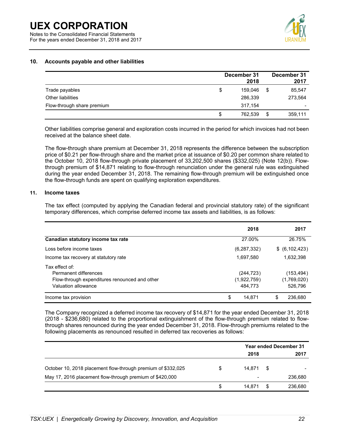Notes to the Consolidated Financial Statements For the years ended December 31, 2018 and 2017



### **10. Accounts payable and other liabilities**

|                            | December 31<br>2018 |    | December 31<br>2017 |
|----------------------------|---------------------|----|---------------------|
| Trade payables             | \$<br>159.046       | S  | 85,547              |
| Other liabilities          | 286,339             |    | 273,564             |
| Flow-through share premium | 317,154             |    | ۰                   |
|                            | 762.539<br>\$       | \$ | 359,111             |

Other liabilities comprise general and exploration costs incurred in the period for which invoices had not been received at the balance sheet date.

The flow-through share premium at December 31, 2018 represents the difference between the subscription price of \$0.21 per flow-through share and the market price at issuance of \$0.20 per common share related to the October 10, 2018 flow-through private placement of 33,202,500 shares (\$332,025) (Note 12(b)). Flowthrough premium of \$14,871 relating to flow-through renunciation under the general rule was extinguished during the year ended December 31, 2018. The remaining flow-through premium will be extinguished once the flow-through funds are spent on qualifying exploration expenditures.

### **11. Income taxes**

The tax effect (computed by applying the Canadian federal and provincial statutory rate) of the significant temporary differences, which comprise deferred income tax assets and liabilities, is as follows:

|                                                                                                                 | 2018                                 | 2017                                 |
|-----------------------------------------------------------------------------------------------------------------|--------------------------------------|--------------------------------------|
| Canadian statutory income tax rate                                                                              | 27.00%                               | 26.75%                               |
| Loss before income taxes                                                                                        | (6, 287, 332)                        | \$ (6, 102, 423)                     |
| Income tax recovery at statutory rate                                                                           | 1,697,580                            | 1,632,398                            |
| Tax effect of:<br>Permanent differences<br>Flow-through expenditures renounced and other<br>Valuation allowance | (244, 723)<br>(1,922,759)<br>484.773 | (153, 494)<br>(1,769,020)<br>526,796 |
| Income tax provision                                                                                            | \$<br>14.871                         | 236.680<br>S.                        |

The Company recognized a deferred income tax recovery of \$14,871 for the year ended December 31, 2018 (2018 - \$236,680) related to the proportional extinguishment of the flow-through premium related to flowthrough shares renounced during the year ended December 31, 2018. Flow-through premiums related to the following placements as renounced resulted in deferred tax recoveries as follows:

|                                                              |   |        | <b>Year ended December 31</b> |         |  |  |
|--------------------------------------------------------------|---|--------|-------------------------------|---------|--|--|
|                                                              |   | 2018   |                               | 2017    |  |  |
| October 10, 2018 placement flow-through premium of \$332,025 | S | 14.871 | S                             |         |  |  |
| May 17, 2016 placement flow-through premium of \$420,000     |   | $\,$   |                               | 236,680 |  |  |
|                                                              | S | 14.871 |                               | 236,680 |  |  |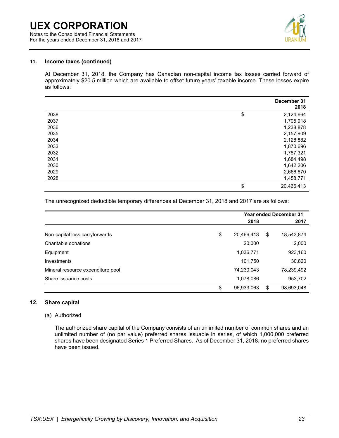Notes to the Consolidated Financial Statements For the years ended December 31, 2018 and 2017



### **11. Income taxes (continued)**

At December 31, 2018, the Company has Canadian non-capital income tax losses carried forward of approximately \$20.5 million which are available to offset future years' taxable income. These losses expire as follows:

|      | December 31<br>2018 |
|------|---------------------|
| 2038 | \$<br>2,124,664     |
| 2037 | 1,705,918           |
| 2036 | 1,238,878           |
| 2035 | 2,157,909           |
| 2034 | 2,128,882           |
| 2033 | 1,870,696           |
| 2032 | 1,787,321           |
| 2031 | 1,684,498           |
| 2030 | 1,642,206           |
| 2029 | 2,666,670           |
| 2028 | 1,458,771           |
|      | \$<br>20,466,413    |

The unrecognized deductible temporary differences at December 31, 2018 and 2017 are as follows:

|                                   | <b>Year ended December 31</b> |    |            |  |
|-----------------------------------|-------------------------------|----|------------|--|
|                                   | 2018                          |    | 2017       |  |
| Non-capital loss carryforwards    | \$<br>20,466,413              | \$ | 18,543,874 |  |
| Charitable donations              | 20,000                        |    | 2,000      |  |
| Equipment                         | 1,036,771                     |    | 923,160    |  |
| Investments                       | 101,750                       |    | 30,820     |  |
| Mineral resource expenditure pool | 74,230,043                    |    | 78,239,492 |  |
| Share issuance costs              | 1,078,086                     |    | 953,702    |  |
|                                   | \$<br>96,933,063              | S  | 98,693,048 |  |

### **12. Share capital**

### (a) Authorized

The authorized share capital of the Company consists of an unlimited number of common shares and an unlimited number of (no par value) preferred shares issuable in series, of which 1,000,000 preferred shares have been designated Series 1 Preferred Shares. As of December 31, 2018, no preferred shares have been issued.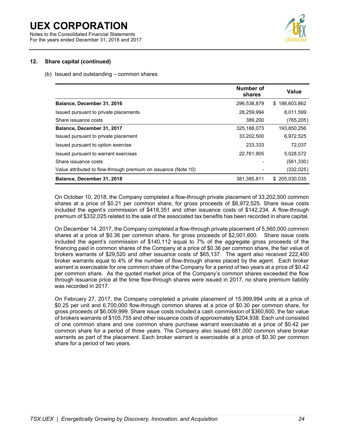Notes to the Consolidated Financial Statements For the years ended December 31, 2018 and 2017



### **12. Share capital (continued)**

(b) Issued and outstanding – common shares

|                                                                | Number of<br>shares | Value              |
|----------------------------------------------------------------|---------------------|--------------------|
| Balance, December 31, 2016                                     | 296,538,879         | 186,603,862<br>\$. |
| Issued pursuant to private placements                          | 28.259.994          | 8.011.599          |
| Share issuance costs                                           | 389,200             | (765, 205)         |
| Balance, December 31, 2017                                     | 325,188,073         | 193,850,256        |
| Issued pursuant to private placement                           | 33.202.500          | 6.972.525          |
| Issued pursuant to option exercise                             | 233,333             | 72,037             |
| Issued pursuant to warrant exercises                           | 22,761,905          | 5,028,572          |
| Share issuance costs                                           |                     | (561,330)          |
| Value attributed to flow-through premium on issuance (Note 10) |                     | (332,025)          |
| Balance, December 31, 2018                                     | 381,385,811         | \$205,030,035      |

On October 10, 2018, the Company completed a flow-through private placement of 33,202,500 common shares at a price of \$0.21 per common share, for gross proceeds of \$6,972,525. Share issue costs included the agent's commission of \$418,351 and other issuance costs of \$142,234. A flow-through premium of \$332,025 related to the sale of the associated tax benefits has been recorded in share capital.

On December 14, 2017, the Company completed a flow-through private placement of 5,560,000 common shares at a price of \$0.36 per common share, for gross proceeds of \$2,001,600. Share issue costs included the agent's commission of \$140,112 equal to 7% of the aggregate gross proceeds of the financing paid in common shares of the Company at a price of \$0.36 per common share, the fair value of brokers warrants of \$29,520 and other issuance costs of \$65,137. The agent also received 222,400 broker warrants equal to 4% of the number of flow-through shares placed by the agent. Each broker warrant is exercisable for one common share of the Company for a period of two years at a price of \$0.42 per common share. As the quoted market price of the Company's common shares exceeded the flow through issuance price at the time flow-through shares were issued in 2017, no share premium liability was recorded in 2017.

On February 27, 2017, the Company completed a private placement of 15,999,994 units at a price of \$0.25 per unit and 6,700,000 flow-through common shares at a price of \$0.30 per common share, for gross proceeds of \$6,009,999. Share issue costs included a cash commission of \$360,600, the fair value of brokers warrants of \$105,755 and other issuance costs of approximately \$204,938. Each unit consisted of one common share and one common share purchase warrant exercisable at a price of \$0.42 per common share for a period of three years. The Company also issued 681,000 common share broker warrants as part of the placement. Each broker warrant is exercisable at a price of \$0.30 per common share for a period of two years.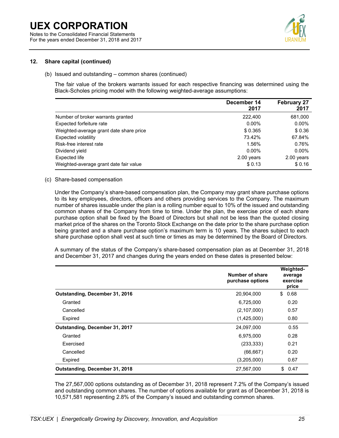For the years ended December 31, 2018 and 2017



### **12. Share capital (continued)**

### (b) Issued and outstanding – common shares (continued)

The fair value of the brokers warrants issued for each respective financing was determined using the Black-Scholes pricing model with the following weighted-average assumptions:

|                                         | December 14<br>2017 | <b>February 27</b><br>2017 |
|-----------------------------------------|---------------------|----------------------------|
| Number of broker warrants granted       | 222,400             | 681,000                    |
| Expected forfeiture rate                | $0.00\%$            | $0.00\%$                   |
| Weighted-average grant date share price | \$0.365             | \$0.36                     |
| Expected volatility                     | 73.42%              | 67.84%                     |
| Risk-free interest rate                 | 1.56%               | 0.76%                      |
| Dividend yield                          | $0.00\%$            | $0.00\%$                   |
| Expected life                           | $2.00$ years        | 2.00 years                 |
| Weighted-average grant date fair value  | \$0.13              | \$0.16                     |

### (c) Share-based compensation

Under the Company's share-based compensation plan, the Company may grant share purchase options to its key employees, directors, officers and others providing services to the Company. The maximum number of shares issuable under the plan is a rolling number equal to 10% of the issued and outstanding common shares of the Company from time to time. Under the plan, the exercise price of each share purchase option shall be fixed by the Board of Directors but shall not be less than the quoted closing market price of the shares on the Toronto Stock Exchange on the date prior to the share purchase option being granted and a share purchase option's maximum term is 10 years. The shares subject to each share purchase option shall vest at such time or times as may be determined by the Board of Directors.

A summary of the status of the Company's share-based compensation plan as at December 31, 2018 and December 31, 2017 and changes during the years ended on these dates is presented below:

|                                | Number of share<br>purchase options | Weighted-<br>average<br>exercise<br>price |
|--------------------------------|-------------------------------------|-------------------------------------------|
| Outstanding, December 31, 2016 | 20,904,000                          | \$<br>0.68                                |
| Granted                        | 6,725,000                           | 0.20                                      |
| Cancelled                      | (2,107,000)                         | 0.57                                      |
| Expired                        | (1,425,000)                         | 0.80                                      |
| Outstanding, December 31, 2017 | 24,097,000                          | 0.55                                      |
| Granted                        | 6,975,000                           | 0.28                                      |
| Exercised                      | (233, 333)                          | 0.21                                      |
| Cancelled                      | (66, 667)                           | 0.20                                      |
| Expired                        | (3,205,000)                         | 0.67                                      |
| Outstanding, December 31, 2018 | 27,567,000                          | \$<br>0.47                                |

The 27,567,000 options outstanding as of December 31, 2018 represent 7.2% of the Company's issued and outstanding common shares. The number of options available for grant as of December 31, 2018 is 10,571,581 representing 2.8% of the Company's issued and outstanding common shares.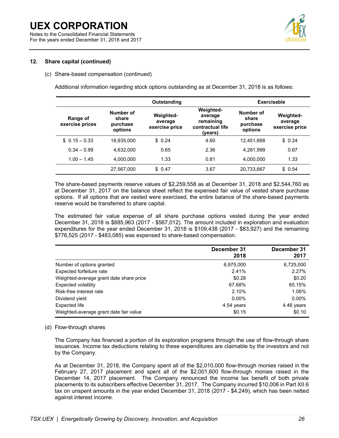For the years ended December 31, 2018 and 2017



### **12. Share capital (continued)**

### (c) Share-based compensation (continued)

Additional information regarding stock options outstanding as at December 31, 2018 is as follows:

|                             | Outstanding                               |                                        |                                                                         |                                           | <b>Exercisable</b>                     |
|-----------------------------|-------------------------------------------|----------------------------------------|-------------------------------------------------------------------------|-------------------------------------------|----------------------------------------|
| Range of<br>exercise prices | Number of<br>share<br>purchase<br>options | Weighted-<br>average<br>exercise price | <b>Weighted-</b><br>average<br>remaining<br>contractual life<br>(years) | Number of<br>share<br>purchase<br>options | Weighted-<br>average<br>exercise price |
| $$0.15 - 0.33$              | 18.935.000                                | \$0.24                                 | 4.60                                                                    | 12.451.668                                | \$0.24                                 |
| $0.34 - 0.99$               | 4,632,000                                 | 0.65                                   | 2.36                                                                    | 4,281,999                                 | 0.67                                   |
| $1.00 - 1.45$               | 4,000,000                                 | 1.33                                   | 0.81                                                                    | 4,000,000                                 | 1.33                                   |
|                             | 27,567,000                                | \$0.47                                 | 3.67                                                                    | 20,733,667                                | \$0.54                                 |

The share-based payments reserve values of \$2,259,558 as at December 31, 2018 and \$2,544,760 as at December 31, 2017 on the balance sheet reflect the expensed fair value of vested share purchase options. If all options that are vested were exercised, the entire balance of the share-based payments reserve would be transferred to share capital.

The estimated fair value expense of all share purchase options vested during the year ended December 31, 2018 is \$885,963 (2017 - \$567,012). The amount included in exploration and evaluation expenditures for the year ended December 31, 2018 is \$109,438 (2017 - \$83,927) and the remaining \$776,525 (2017 - \$483,085) was expensed to share-based compensation.

|                                         | December 31<br>2018 | December 31<br>2017 |
|-----------------------------------------|---------------------|---------------------|
| Number of options granted               | 6,975,000           | 6,725,000           |
| Expected forfeiture rate                | 2.41%               | 2.27%               |
| Weighted-average grant date share price | \$0.28              | \$0.20              |
| Expected volatility                     | 67.68%              | 65.15%              |
| Risk-free interest rate                 | 2.10%               | 1.06%               |
| Dividend yield                          | $0.00\%$            | $0.00\%$            |
| Expected life                           | 4.54 years          | 4.46 years          |
| Weighted-average grant date fair value  | \$0.15              | \$0.10              |

### (d) Flow-through shares

The Company has financed a portion of its exploration programs through the use of flow-through share issuances. Income tax deductions relating to these expenditures are claimable by the investors and not by the Company.

As at December 31, 2018, the Company spent all of the \$2,010,000 flow-through monies raised in the February 27, 2017 placement and spent all of the \$2,001,600 flow-through monies raised in the December 14, 2017 placement. The Company renounced the income tax benefit of both private placements to its subscribers effective December 31, 2017. The Company incurred \$10,006 in Part XII.6 tax on unspent amounts in the year ended December 31, 2018 (2017 - \$4,249), which has been netted against interest income.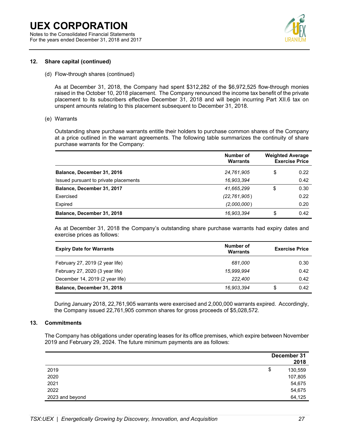Notes to the Consolidated Financial Statements For the years ended December 31, 2018 and 2017



### **12. Share capital (continued)**

(d) Flow-through shares (continued)

As at December 31, 2018, the Company had spent \$312,282 of the \$6,972,525 flow-through monies raised in the October 10, 2018 placement. The Company renounced the income tax benefit of the private placement to its subscribers effective December 31, 2018 and will begin incurring Part XII.6 tax on unspent amounts relating to this placement subsequent to December 31, 2018.

(e) Warrants

Outstanding share purchase warrants entitle their holders to purchase common shares of the Company at a price outlined in the warrant agreements. The following table summarizes the continuity of share purchase warrants for the Company:

|                                       | Number of<br><b>Warrants</b> | <b>Weighted Average</b><br><b>Exercise Price</b> |      |  |
|---------------------------------------|------------------------------|--------------------------------------------------|------|--|
| Balance, December 31, 2016            | 24,761,905                   | \$                                               | 0.22 |  |
| Issued pursuant to private placements | 16,903,394                   |                                                  | 0.42 |  |
| Balance, December 31, 2017            | 41,665,299                   | \$                                               | 0.30 |  |
| Exercised                             | (22, 761, 905)               |                                                  | 0.22 |  |
| Expired                               | (2,000,000)                  |                                                  | 0.20 |  |
| Balance, December 31, 2018            | 16,903,394                   | \$                                               | 0.42 |  |

As at December 31, 2018 the Company's outstanding share purchase warrants had expiry dates and exercise prices as follows:

| <b>Expiry Date for Warrants</b> | Number of<br>Warrants | <b>Exercise Price</b> |      |  |
|---------------------------------|-----------------------|-----------------------|------|--|
| February 27, 2019 (2 year life) | 681.000               |                       | 0.30 |  |
| February 27, 2020 (3 year life) | 15.999.994            |                       | 0.42 |  |
| December 14, 2019 (2 year life) | 222,400               |                       | 0.42 |  |
| Balance, December 31, 2018      | 16,903,394            | S                     | 0.42 |  |

During January 2018, 22,761,905 warrants were exercised and 2,000,000 warrants expired. Accordingly, the Company issued 22,761,905 common shares for gross proceeds of \$5,028,572.

### **13. Commitments**

The Company has obligations under operating leases for its office premises, which expire between November 2019 and February 29, 2024. The future minimum payments are as follows:

|                 | December 31   |
|-----------------|---------------|
|                 | 2018          |
| 2019            | \$<br>130,559 |
| 2020            | 107,805       |
| 2021            | 54,675        |
| 2022            | 54,675        |
| 2023 and beyond | 64,125        |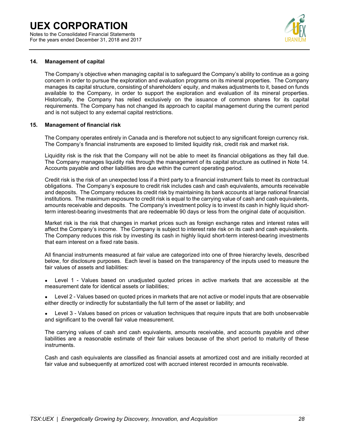Notes to the Consolidated Financial Statements For the years ended December 31, 2018 and 2017



### **14. Management of capital**

The Company's objective when managing capital is to safeguard the Company's ability to continue as a going concern in order to pursue the exploration and evaluation programs on its mineral properties. The Company manages its capital structure, consisting of shareholders' equity, and makes adjustments to it, based on funds available to the Company, in order to support the exploration and evaluation of its mineral properties. Historically, the Company has relied exclusively on the issuance of common shares for its capital requirements. The Company has not changed its approach to capital management during the current period and is not subject to any external capital restrictions.

### **15. Management of financial risk**

The Company operates entirely in Canada and is therefore not subject to any significant foreign currency risk. The Company's financial instruments are exposed to limited liquidity risk, credit risk and market risk.

Liquidity risk is the risk that the Company will not be able to meet its financial obligations as they fall due. The Company manages liquidity risk through the management of its capital structure as outlined in Note 14. Accounts payable and other liabilities are due within the current operating period.

Credit risk is the risk of an unexpected loss if a third party to a financial instrument fails to meet its contractual obligations. The Company's exposure to credit risk includes cash and cash equivalents, amounts receivable and deposits. The Company reduces its credit risk by maintaining its bank accounts at large national financial institutions. The maximum exposure to credit risk is equal to the carrying value of cash and cash equivalents, amounts receivable and deposits. The Company's investment policy is to invest its cash in highly liquid shortterm interest-bearing investments that are redeemable 90 days or less from the original date of acquisition.

Market risk is the risk that changes in market prices such as foreign exchange rates and interest rates will affect the Company's income. The Company is subject to interest rate risk on its cash and cash equivalents. The Company reduces this risk by investing its cash in highly liquid short-term interest-bearing investments that earn interest on a fixed rate basis.

All financial instruments measured at fair value are categorized into one of three hierarchy levels, described below, for disclosure purposes. Each level is based on the transparency of the inputs used to measure the fair values of assets and liabilities:

- Level 1 Values based on unadjusted quoted prices in active markets that are accessible at the measurement date for identical assets or liabilities;
- Level 2 Values based on quoted prices in markets that are not active or model inputs that are observable either directly or indirectly for substantially the full term of the asset or liability; and
- Level 3 Values based on prices or valuation techniques that require inputs that are both unobservable and significant to the overall fair value measurement.

The carrying values of cash and cash equivalents, amounts receivable, and accounts payable and other liabilities are a reasonable estimate of their fair values because of the short period to maturity of these instruments.

Cash and cash equivalents are classified as financial assets at amortized cost and are initially recorded at fair value and subsequently at amortized cost with accrued interest recorded in amounts receivable.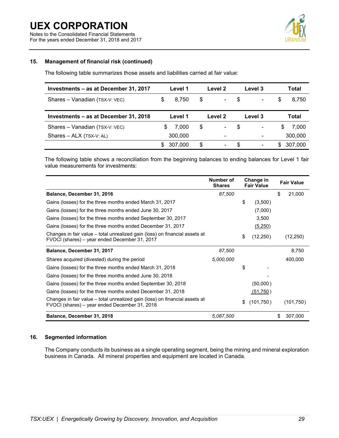For the years ended December 31, 2018 and 2017



### **15. Management of financial risk (continued)**

The following table summarizes those assets and liabilities carried at fair value:

| Investments – as at December 31, 2017 |   | Level 1 | Level 2 |    | Level 3                  |    | Total   |
|---------------------------------------|---|---------|---------|----|--------------------------|----|---------|
| Shares - Vanadian (TSX-V: VEC)        | S | 8.750   | \$      | S. | $\blacksquare$           | S  | 8.750   |
| Investments - as at December 31, 2018 |   | Level 1 | Level 2 |    | Level 3                  |    | Total   |
| Shares - Vanadian (TSX-V: VEC)        | S | 7.000   | \$      | \$ | $\overline{\phantom{a}}$ | \$ | 7,000   |
| Shares - ALX (TSX-V: AL)              |   | 300,000 | -       |    |                          |    | 300,000 |
|                                       | S | 307.000 | \$      | \$ | $\overline{\phantom{a}}$ | S  | 307,000 |

The following table shows a reconciliation from the beginning balances to ending balances for Level 1 fair value measurements for investments:

|                                                                                                                              | Number of<br><b>Shares</b> | Change in<br><b>Fair Value</b> | <b>Fair Value</b> |
|------------------------------------------------------------------------------------------------------------------------------|----------------------------|--------------------------------|-------------------|
| Balance, December 31, 2016                                                                                                   | 87,500                     |                                | \$<br>21,000      |
| Gains (losses) for the three months ended March 31, 2017                                                                     |                            | \$<br>(3,500)                  |                   |
| Gains (losses) for the three months ended June 30, 2017                                                                      |                            | (7,000)                        |                   |
| Gains (losses) for the three months ended September 30, 2017                                                                 |                            | 3,500                          |                   |
| Gains (losses) for the three months ended December 31, 2017                                                                  |                            | (5,250)                        |                   |
| Changes in fair value – total unrealized gain (loss) on financial assets at<br>FVOCI (shares) – year ended December 31, 2017 |                            | \$<br>(12, 250)                | (12, 250)         |
| Balance, December 31, 2017                                                                                                   | 87,500                     |                                | 8,750             |
| Shares acquired (divested) during the period                                                                                 | 5,000,000                  |                                | 400,000           |
| Gains (losses) for the three months ended March 31, 2018                                                                     |                            | \$                             |                   |
| Gains (losses) for the three months ended June 30, 2018                                                                      |                            |                                |                   |
| Gains (losses) for the three months ended September 30, 2018                                                                 |                            | (50,000)                       |                   |
| Gains (losses) for the three months ended December 31, 2018                                                                  |                            | (51,750)                       |                   |
| Changes in fair value – total unrealized gain (loss) on financial assets at<br>FVOCI (shares) – year ended December 31, 2018 |                            | \$<br>(101,750)                | (101,750)         |
| Balance, December 31, 2018                                                                                                   | 5,087,500                  |                                | \$<br>307,000     |

### **16. Segmented information**

The Company conducts its business as a single operating segment, being the mining and mineral exploration business in Canada. All mineral properties and equipment are located in Canada.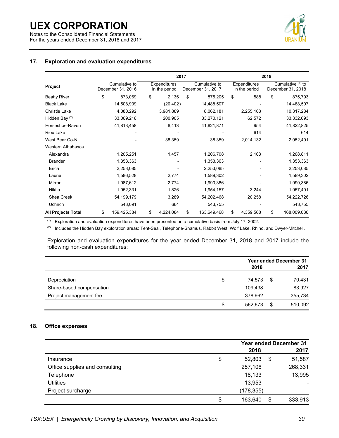Notes to the Consolidated Financial Statements For the years ended December 31, 2018 and 2017



### **17. Exploration and evaluation expenditures**

|                           |                                    | 2017 |                                      |    |                                    | 2018 |                               |    |                                        |
|---------------------------|------------------------------------|------|--------------------------------------|----|------------------------------------|------|-------------------------------|----|----------------------------------------|
| Project                   | Cumulative to<br>December 31, 2016 |      | <b>Expenditures</b><br>in the period |    | Cumulative to<br>December 31, 2017 |      | Expenditures<br>in the period |    | Cumulative (1) to<br>December 31, 2018 |
| <b>Beatty River</b>       | \$<br>873,069                      | \$   | 2,136                                | \$ | 875,205                            | \$   | 588                           | \$ | 875,793                                |
| <b>Black Lake</b>         | 14,508,909                         |      | (20, 402)                            |    | 14,488,507                         |      |                               |    | 14,488,507                             |
| <b>Christie Lake</b>      | 4,080,292                          |      | 3,981,889                            |    | 8,062,181                          |      | 2,255,103                     |    | 10,317,284                             |
| Hidden Bay <sup>(2)</sup> | 33,069,216                         |      | 200,905                              |    | 33,270,121                         |      | 62,572                        |    | 33,332,693                             |
| Horseshoe-Raven           | 41,813,458                         |      | 8,413                                |    | 41,821,871                         |      | 954                           |    | 41,822,825                             |
| Riou Lake                 |                                    |      |                                      |    |                                    |      | 614                           |    | 614                                    |
| West Bear Co-Ni           |                                    |      | 38,359                               |    | 38,359                             |      | 2,014,132                     |    | 2,052,491                              |
| Western Athabasca         |                                    |      |                                      |    |                                    |      |                               |    |                                        |
| Alexandra                 | 1,205,251                          |      | 1,457                                |    | 1,206,708                          |      | 2,103                         |    | 1,208,811                              |
| <b>Brander</b>            | 1,353,363                          |      |                                      |    | 1,353,363                          |      |                               |    | 1,353,363                              |
| Erica                     | 2,253,085                          |      |                                      |    | 2,253,085                          |      |                               |    | 2,253,085                              |
| Laurie                    | 1,586,528                          |      | 2,774                                |    | 1,589,302                          |      |                               |    | 1,589,302                              |
| Mirror                    | 1,987,612                          |      | 2,774                                |    | 1,990,386                          |      |                               |    | 1,990,386                              |
| <b>Nikita</b>             | 1,952,331                          |      | 1,826                                |    | 1,954,157                          |      | 3,244                         |    | 1,957,401                              |
| Shea Creek                | 54, 199, 179                       |      | 3,289                                |    | 54,202,468                         |      | 20,258                        |    | 54,222,726                             |
| Uchrich                   | 543,091                            |      | 664                                  |    | 543,755                            |      |                               |    | 543,755                                |
| <b>All Projects Total</b> | \$<br>159,425,384                  | \$   | 4,224,084                            | \$ | 163,649,468                        | \$   | 4,359,568                     | \$ | 168,009,036                            |

(1) Exploration and evaluation expenditures have been presented on a cumulative basis from July 17, 2002.

(2) Includes the Hidden Bay exploration areas: Tent-Seal, Telephone-Shamus, Rabbit West, Wolf Lake, Rhino, and Dwyer-Mitchell.

Exploration and evaluation expenditures for the year ended December 31, 2018 and 2017 include the following non-cash expenditures:

|                          |               | <b>Year ended December 31</b> |         |  |  |
|--------------------------|---------------|-------------------------------|---------|--|--|
|                          | 2018          |                               | 2017    |  |  |
| Depreciation             | \$<br>74,573  | \$                            | 70,431  |  |  |
| Share-based compensation | 109,438       |                               | 83,927  |  |  |
| Project management fee   | 378,662       |                               | 355,734 |  |  |
|                          | \$<br>562,673 | \$                            | 510,092 |  |  |

### **18. Office expenses**

|                                | 2018          |    | <b>Year ended December 31</b><br>2017 |
|--------------------------------|---------------|----|---------------------------------------|
| Insurance                      | \$<br>52,803  | \$ | 51,587                                |
| Office supplies and consulting | 257,106       |    | 268,331                               |
| Telephone                      | 18,133        |    | 13,995                                |
| Utilities                      | 13,953        |    |                                       |
| Project surcharge              | (178, 355)    |    | ۰                                     |
|                                | \$<br>163,640 | S  | 333,913                               |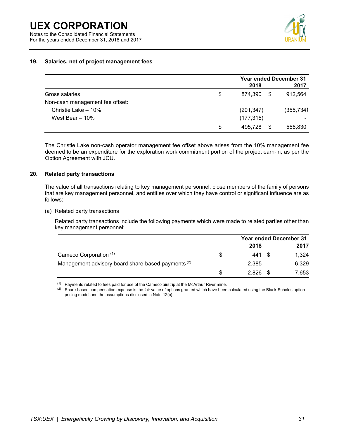For the years ended December 31, 2018 and 2017

### **19. Salaries, net of project management fees**

|                                 | <b>Year ended December 31</b> |      |                          |  |
|---------------------------------|-------------------------------|------|--------------------------|--|
|                                 | 2018                          |      | 2017                     |  |
| Gross salaries                  | \$<br>874.390                 | - \$ | 912,564                  |  |
| Non-cash management fee offset: |                               |      |                          |  |
| Christie Lake - 10%             | (201, 347)                    |      | (355, 734)               |  |
| West Bear $-10%$                | (177, 315)                    |      | $\overline{\phantom{0}}$ |  |
|                                 | \$<br>495.728                 | S    | 556,830                  |  |

The Christie Lake non-cash operator management fee offset above arises from the 10% management fee deemed to be an expenditure for the exploration work commitment portion of the project earn-in, as per the Option Agreement with JCU.

### **20. Related party transactions**

The value of all transactions relating to key management personnel, close members of the family of persons that are key management personnel, and entities over which they have control or significant influence are as follows:

(a) Related party transactions

Related party transactions include the following payments which were made to related parties other than key management personnel:

|                                                               |        | <b>Year ended December 31</b> |       |  |
|---------------------------------------------------------------|--------|-------------------------------|-------|--|
|                                                               | 2018   |                               | 2017  |  |
| Cameco Corporation (1)                                        | 441 \$ |                               | 1,324 |  |
| Management advisory board share-based payments <sup>(2)</sup> | 2.385  |                               | 6,329 |  |
|                                                               | 2,826  |                               | 7.653 |  |

 $(1)$  Payments related to fees paid for use of the Cameco airstrip at the McArthur River mine.

 $(2)$  Share-based compensation expense is the fair value of options granted which have been calculated using the Black-Scholes optionpricing model and the assumptions disclosed in Note 12(c).

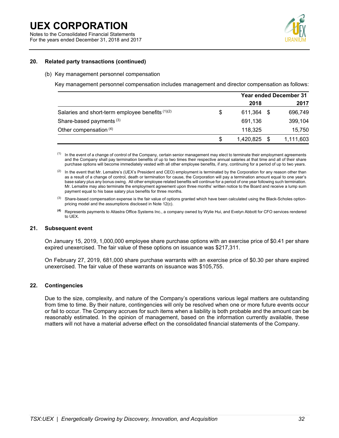For the years ended December 31, 2018 and 2017



### **20. Related party transactions (continued)**

#### (b) Key management personnel compensation

Key management personnel compensation includes management and director compensation as follows:

|                                                  | <b>Year ended December 31</b> |  |           |
|--------------------------------------------------|-------------------------------|--|-----------|
|                                                  | 2018                          |  | 2017      |
| Salaries and short-term employee benefits (1)(2) | \$<br>611,364                 |  | 696,749   |
| Share-based payments <sup>(3)</sup>              | 691,136                       |  | 399,104   |
| Other compensation (4)                           | 118,325                       |  | 15,750    |
|                                                  | \$<br>1,420,825               |  | 1,111,603 |

<sup>(1)</sup> In the event of a change of control of the Company, certain senior management may elect to terminate their employment agreements and the Company shall pay termination benefits of up to two times their respective annual salaries at that time and all of their share purchase options will become immediately vested with all other employee benefits, if any, continuing for a period of up to two years.

 $(2)$  In the event that Mr. Lemaitre's (UEX's President and CEO) employment is terminated by the Corporation for any reason other than as a result of a change of control, death or termination for cause, the Corporation will pay a termination amount equal to one year's base salary plus any bonus owing. All other employee related benefits will continue for a period of one year following such termination. Mr. Lemaitre may also terminate the employment agreement upon three months' written notice to the Board and receive a lump sum payment equal to his base salary plus benefits for three months.

 $(3)$  Share-based compensation expense is the fair value of options granted which have been calculated using the Black-Scholes optionpricing model and the assumptions disclosed in Note 12(c).

**(4)** Represents payments to Altastra Office Systems Inc., a company owned by Wylie Hui, and Evelyn Abbott for CFO services rendered to UEX.

### **21. Subsequent event**

On January 15, 2019, 1,000,000 employee share purchase options with an exercise price of \$0.41 per share expired unexercised. The fair value of these options on issuance was \$217,311.

On February 27, 2019, 681,000 share purchase warrants with an exercise price of \$0.30 per share expired unexercised. The fair value of these warrants on issuance was \$105,755.

### **22. Contingencies**

Due to the size, complexity, and nature of the Company's operations various legal matters are outstanding from time to time. By their nature, contingencies will only be resolved when one or more future events occur or fail to occur. The Company accrues for such items when a liability is both probable and the amount can be reasonably estimated. In the opinion of management, based on the information currently available, these matters will not have a material adverse effect on the consolidated financial statements of the Company.